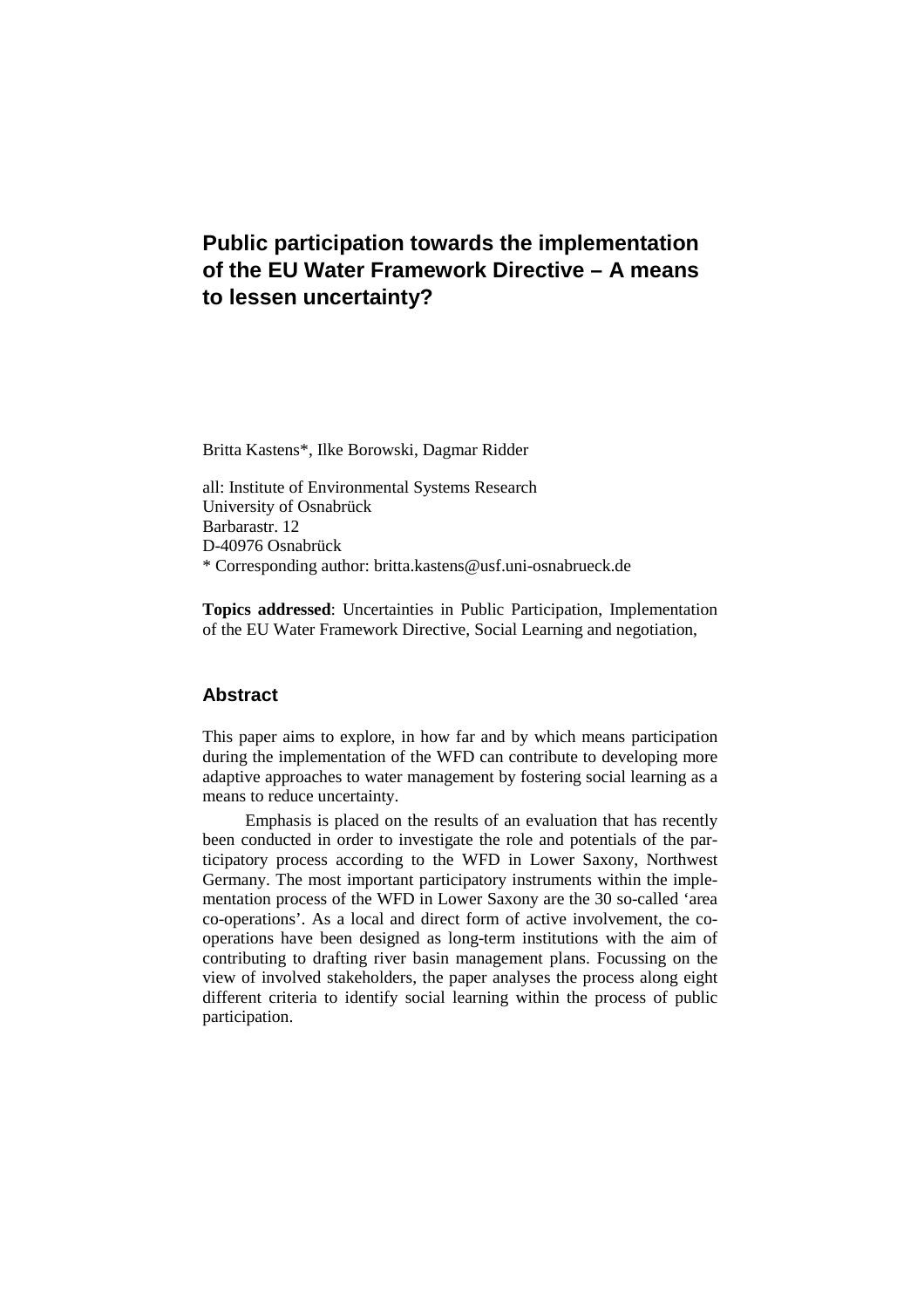# **Public participation towards the implementation of the EU Water Framework Directive – A means to lessen uncertainty?**

Britta Kastens\*, Ilke Borowski, Dagmar Ridder

all: Institute of Environmental Systems Research University of Osnabrück Barbarastr. 12 D-40976 Osnabrück \* Corresponding author: britta.kastens@usf.uni-osnabrueck.de

**Topics addressed**: Uncertainties in Public Participation, Implementation of the EU Water Framework Directive, Social Learning and negotiation,

# **Abstract**

This paper aims to explore, in how far and by which means participation during the implementation of the WFD can contribute to developing more adaptive approaches to water management by fostering social learning as a means to reduce uncertainty.

Emphasis is placed on the results of an evaluation that has recently been conducted in order to investigate the role and potentials of the participatory process according to the WFD in Lower Saxony, Northwest Germany. The most important participatory instruments within the implementation process of the WFD in Lower Saxony are the 30 so-called 'area co-operations'. As a local and direct form of active involvement, the cooperations have been designed as long-term institutions with the aim of contributing to drafting river basin management plans. Focussing on the view of involved stakeholders, the paper analyses the process along eight different criteria to identify social learning within the process of public participation.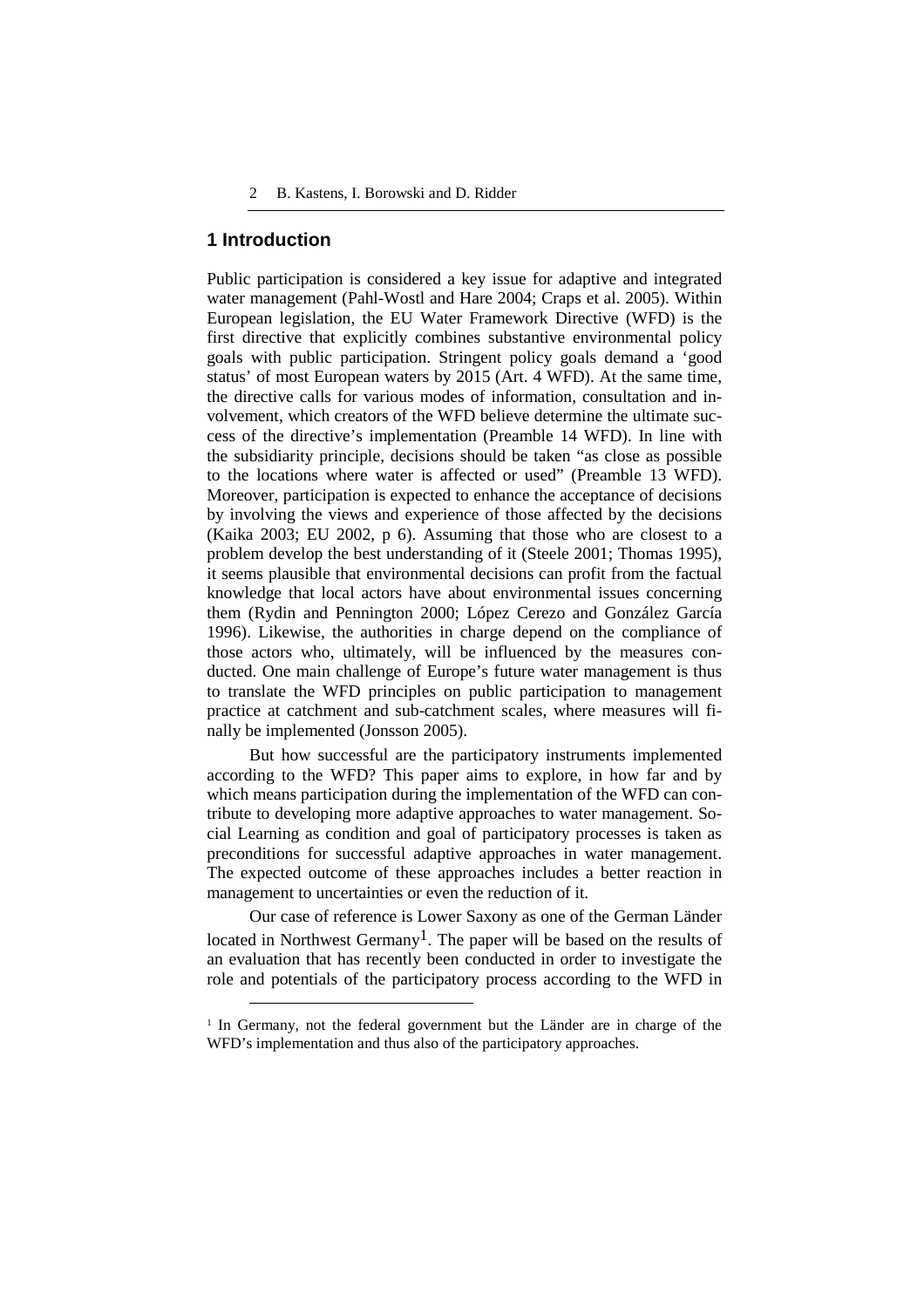### **1 Introduction**

 $\overline{a}$ 

Public participation is considered a key issue for adaptive and integrated water management (Pahl-Wostl and Hare 2004; Craps et al. 2005). Within European legislation, the EU Water Framework Directive (WFD) is the first directive that explicitly combines substantive environmental policy goals with public participation. Stringent policy goals demand a 'good status' of most European waters by 2015 (Art. 4 WFD). At the same time, the directive calls for various modes of information, consultation and involvement, which creators of the WFD believe determine the ultimate success of the directive's implementation (Preamble 14 WFD). In line with the subsidiarity principle, decisions should be taken "as close as possible to the locations where water is affected or used" (Preamble 13 WFD). Moreover, participation is expected to enhance the acceptance of decisions by involving the views and experience of those affected by the decisions (Kaika 2003; EU 2002, p 6). Assuming that those who are closest to a problem develop the best understanding of it (Steele 2001; Thomas 1995), it seems plausible that environmental decisions can profit from the factual knowledge that local actors have about environmental issues concerning them (Rydin and Pennington 2000; López Cerezo and González García 1996). Likewise, the authorities in charge depend on the compliance of those actors who, ultimately, will be influenced by the measures conducted. One main challenge of Europe's future water management is thus to translate the WFD principles on public participation to management practice at catchment and sub-catchment scales, where measures will finally be implemented (Jonsson 2005).

But how successful are the participatory instruments implemented according to the WFD? This paper aims to explore, in how far and by which means participation during the implementation of the WFD can contribute to developing more adaptive approaches to water management. Social Learning as condition and goal of participatory processes is taken as preconditions for successful adaptive approaches in water management. The expected outcome of these approaches includes a better reaction in management to uncertainties or even the reduction of it.

Our case of reference is Lower Saxony as one of the German Länder located in Northwest Germany<sup>1</sup>. The paper will be based on the results of an evaluation that has recently been conducted in order to investigate the role and potentials of the participatory process according to the WFD in

<sup>&</sup>lt;sup>1</sup> In Germany, not the federal government but the Länder are in charge of the WFD's implementation and thus also of the participatory approaches.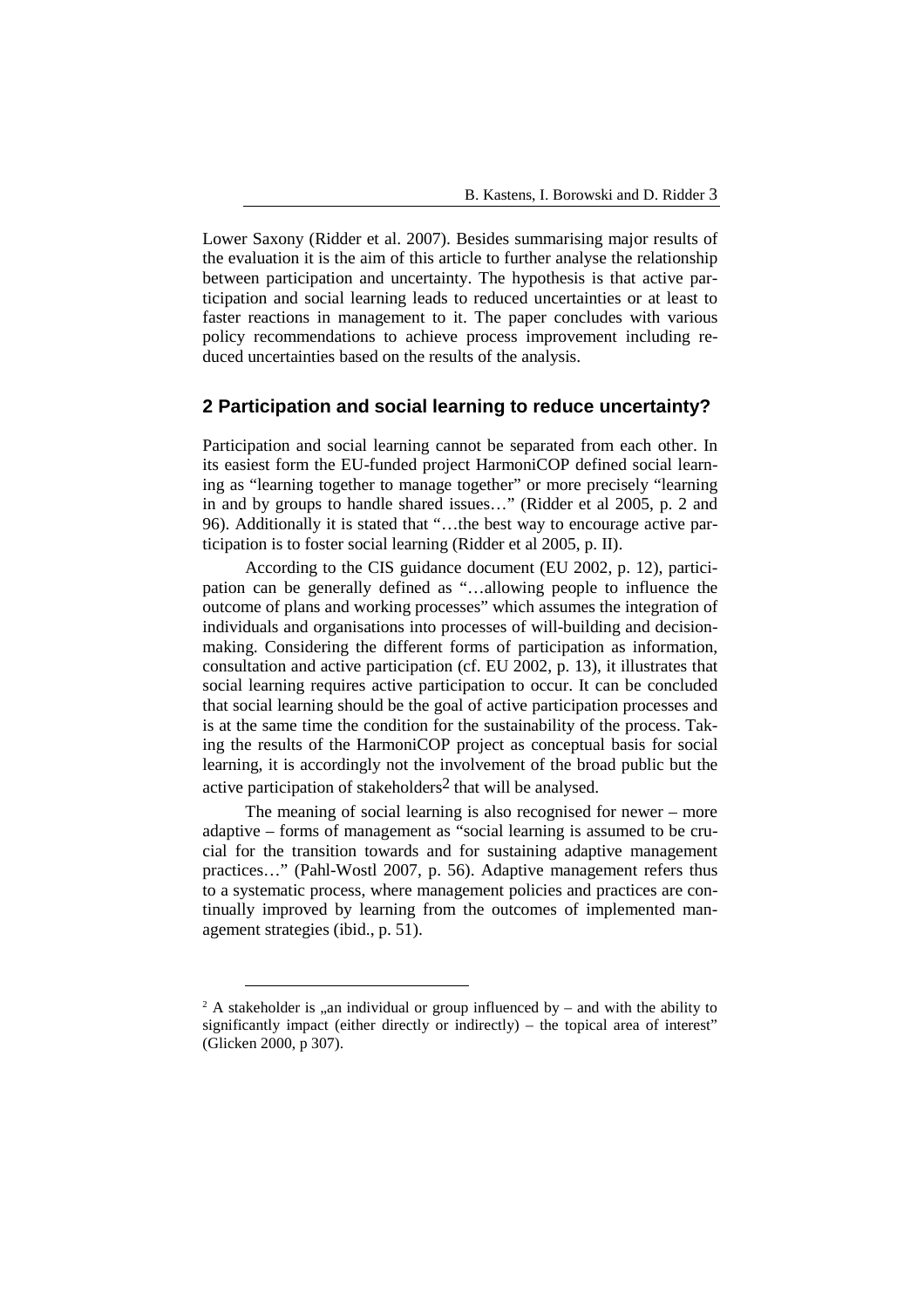Lower Saxony (Ridder et al. 2007). Besides summarising major results of the evaluation it is the aim of this article to further analyse the relationship between participation and uncertainty. The hypothesis is that active participation and social learning leads to reduced uncertainties or at least to faster reactions in management to it. The paper concludes with various policy recommendations to achieve process improvement including reduced uncertainties based on the results of the analysis.

# **2 Participation and social learning to reduce uncertainty?**

Participation and social learning cannot be separated from each other. In its easiest form the EU-funded project HarmoniCOP defined social learning as "learning together to manage together" or more precisely "learning in and by groups to handle shared issues…" (Ridder et al 2005, p. 2 and 96). Additionally it is stated that "…the best way to encourage active participation is to foster social learning (Ridder et al 2005, p. II).

According to the CIS guidance document (EU 2002, p. 12), participation can be generally defined as "…allowing people to influence the outcome of plans and working processes" which assumes the integration of individuals and organisations into processes of will-building and decisionmaking. Considering the different forms of participation as information, consultation and active participation (cf. EU 2002, p. 13), it illustrates that social learning requires active participation to occur. It can be concluded that social learning should be the goal of active participation processes and is at the same time the condition for the sustainability of the process. Taking the results of the HarmoniCOP project as conceptual basis for social learning, it is accordingly not the involvement of the broad public but the active participation of stakeholders<sup>2</sup> that will be analysed.

The meaning of social learning is also recognised for newer – more adaptive – forms of management as "social learning is assumed to be crucial for the transition towards and for sustaining adaptive management practices…" (Pahl-Wostl 2007, p. 56). Adaptive management refers thus to a systematic process, where management policies and practices are continually improved by learning from the outcomes of implemented management strategies (ibid., p. 51).

l

<sup>&</sup>lt;sup>2</sup> A stakeholder is ..an individual or group influenced by – and with the ability to significantly impact (either directly or indirectly) – the topical area of interest" (Glicken 2000, p 307).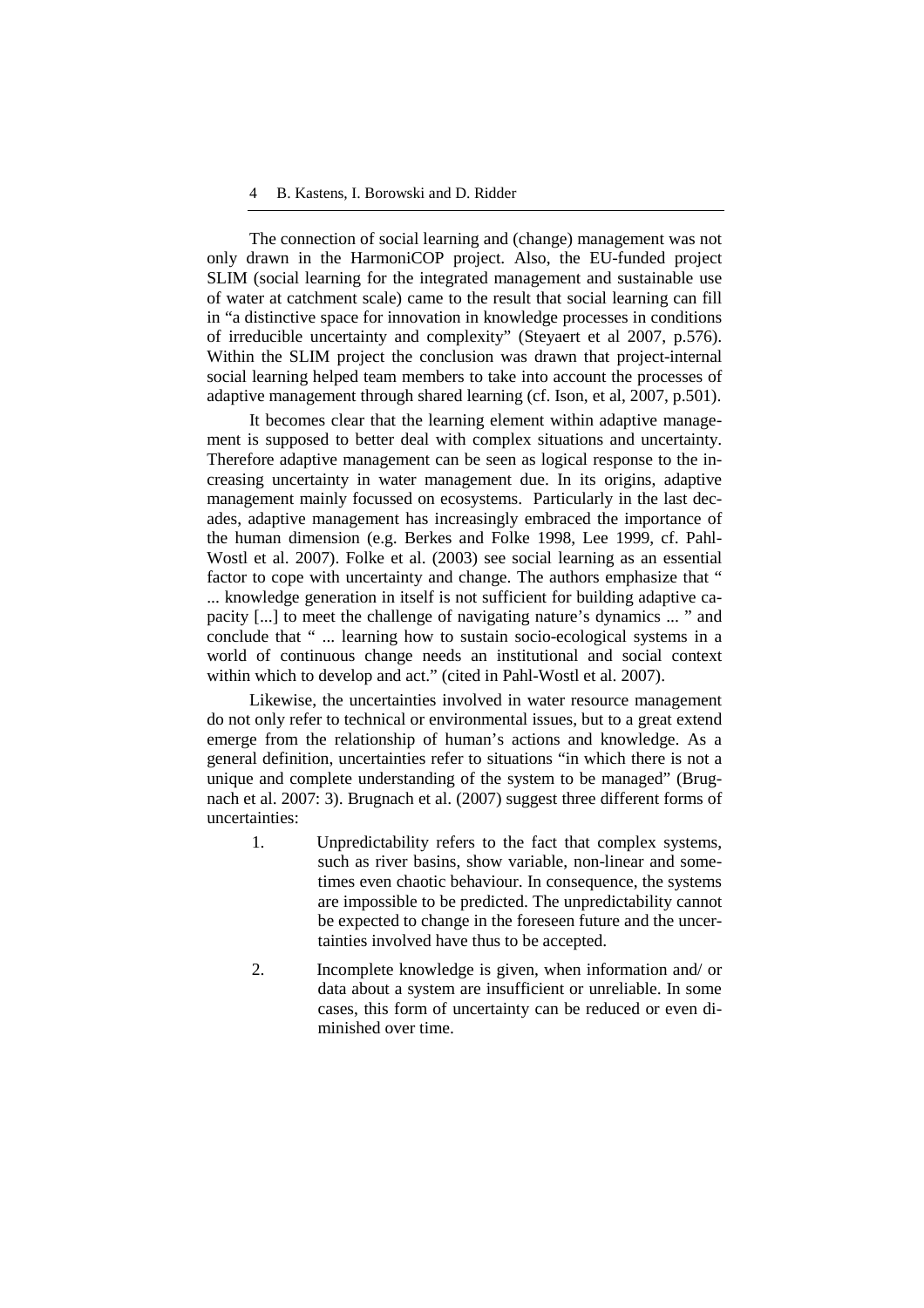The connection of social learning and (change) management was not only drawn in the HarmoniCOP project. Also, the EU-funded project SLIM (social learning for the integrated management and sustainable use of water at catchment scale) came to the result that social learning can fill in "a distinctive space for innovation in knowledge processes in conditions of irreducible uncertainty and complexity" (Steyaert et al 2007, p.576). Within the SLIM project the conclusion was drawn that project-internal social learning helped team members to take into account the processes of adaptive management through shared learning (cf. Ison, et al, 2007, p.501).

It becomes clear that the learning element within adaptive management is supposed to better deal with complex situations and uncertainty. Therefore adaptive management can be seen as logical response to the increasing uncertainty in water management due. In its origins, adaptive management mainly focussed on ecosystems. Particularly in the last decades, adaptive management has increasingly embraced the importance of the human dimension (e.g. Berkes and Folke 1998, Lee 1999, cf. Pahl-Wostl et al. 2007). Folke et al. (2003) see social learning as an essential factor to cope with uncertainty and change. The authors emphasize that " ... knowledge generation in itself is not sufficient for building adaptive capacity [...] to meet the challenge of navigating nature's dynamics ... " and conclude that " ... learning how to sustain socio-ecological systems in a world of continuous change needs an institutional and social context within which to develop and act." (cited in Pahl-Wostl et al. 2007).

Likewise, the uncertainties involved in water resource management do not only refer to technical or environmental issues, but to a great extend emerge from the relationship of human's actions and knowledge. As a general definition, uncertainties refer to situations "in which there is not a unique and complete understanding of the system to be managed" (Brugnach et al. 2007: 3). Brugnach et al. (2007) suggest three different forms of uncertainties:

- 1. Unpredictability refers to the fact that complex systems, such as river basins, show variable, non-linear and sometimes even chaotic behaviour. In consequence, the systems are impossible to be predicted. The unpredictability cannot be expected to change in the foreseen future and the uncertainties involved have thus to be accepted.
- 2. Incomplete knowledge is given, when information and/ or data about a system are insufficient or unreliable. In some cases, this form of uncertainty can be reduced or even diminished over time.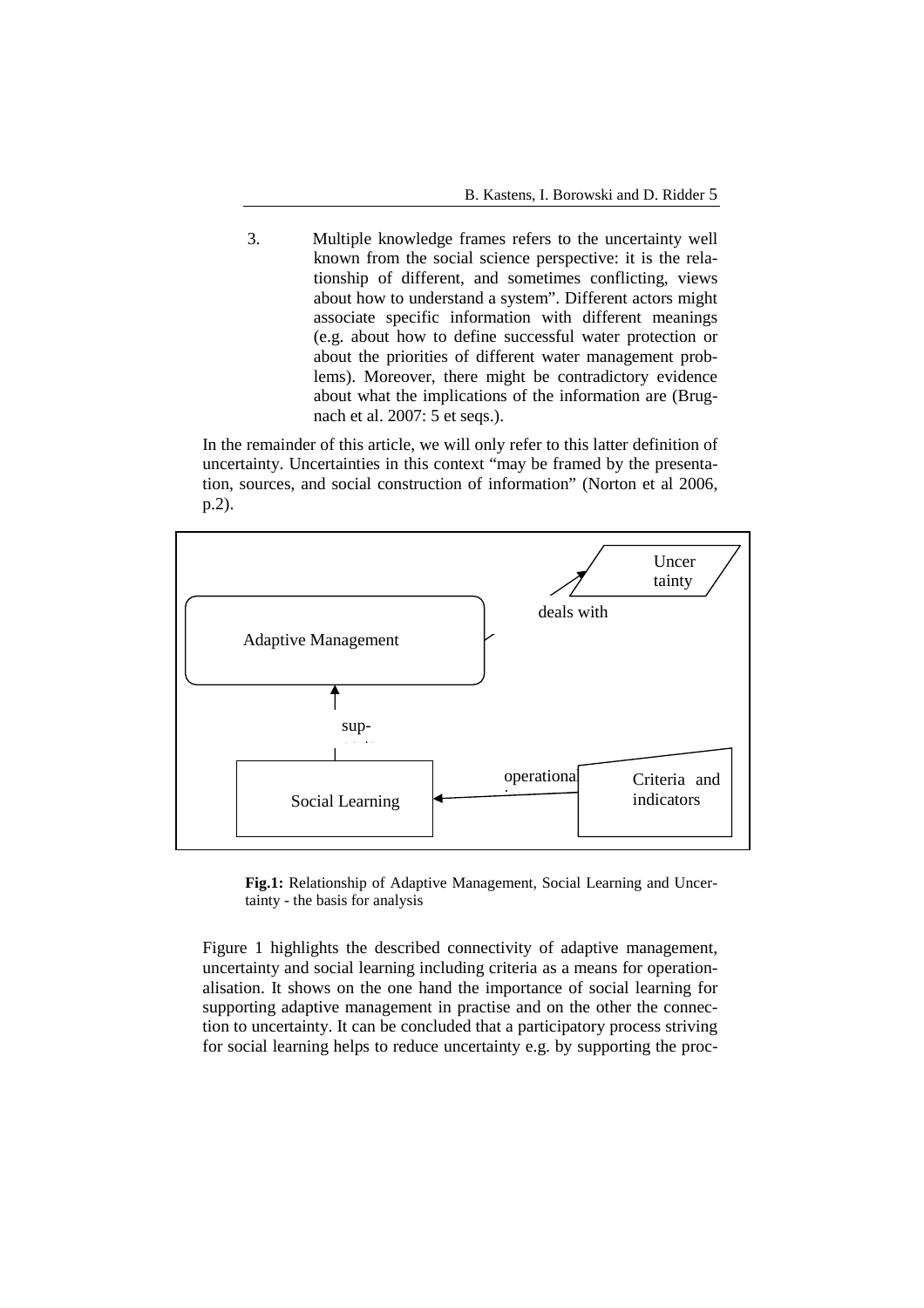3. Multiple knowledge frames refers to the uncertainty well known from the social science perspective: it is the relationship of different, and sometimes conflicting, views about how to understand a system". Different actors might associate specific information with different meanings (e.g. about how to define successful water protection or about the priorities of different water management problems). Moreover, there might be contradictory evidence about what the implications of the information are (Brugnach et al. 2007: 5 et seqs.).

In the remainder of this article, we will only refer to this latter definition of uncertainty. Uncertainties in this context "may be framed by the presentation, sources, and social construction of information" (Norton et al 2006, p.2).



**Fig.1:** Relationship of Adaptive Management, Social Learning and Uncertainty - the basis for analysis

Figure 1 highlights the described connectivity of adaptive management, uncertainty and social learning including criteria as a means for operationalisation. It shows on the one hand the importance of social learning for supporting adaptive management in practise and on the other the connection to uncertainty. It can be concluded that a participatory process striving for social learning helps to reduce uncertainty e.g. by supporting the proc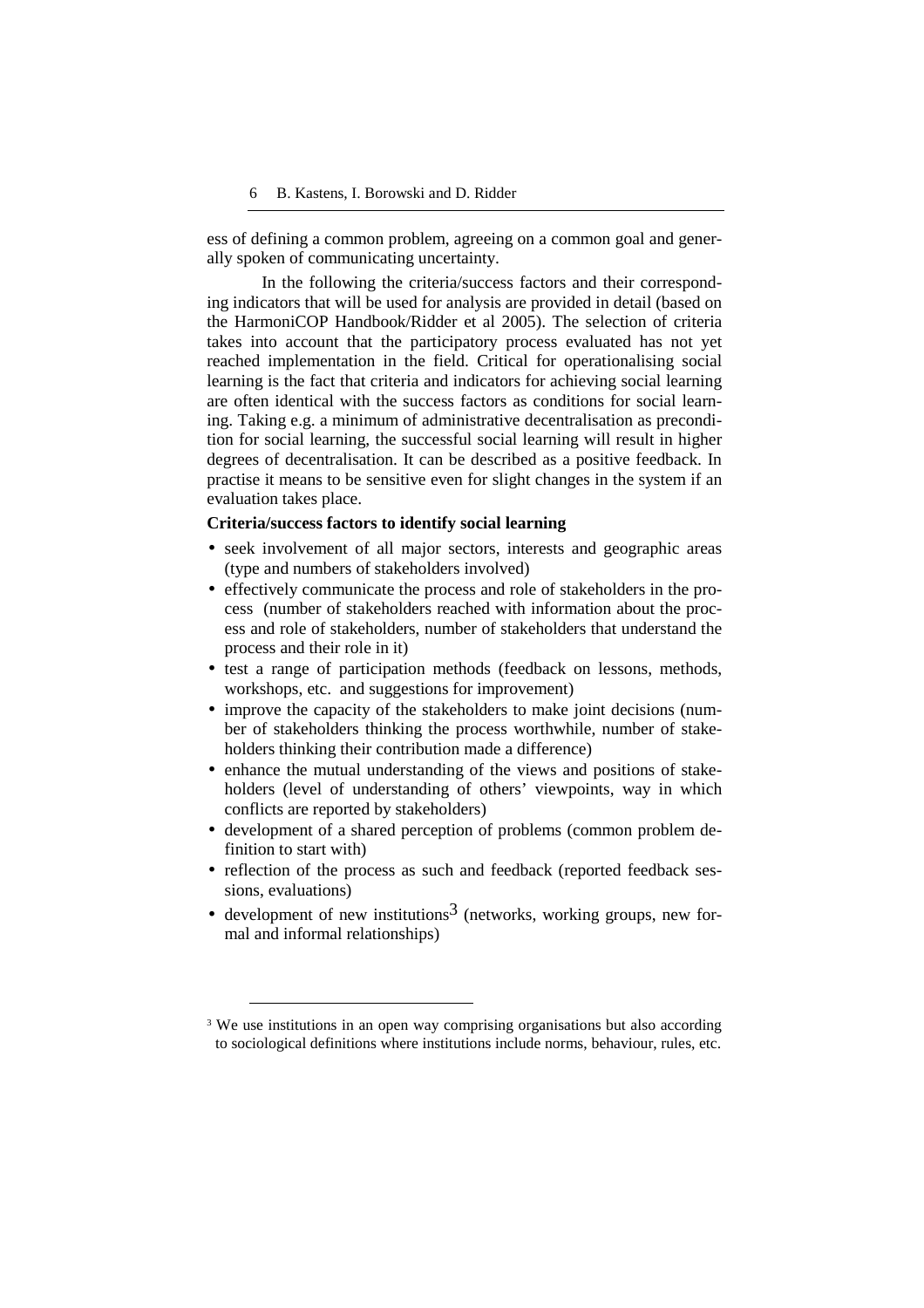ess of defining a common problem, agreeing on a common goal and generally spoken of communicating uncertainty.

In the following the criteria/success factors and their corresponding indicators that will be used for analysis are provided in detail (based on the HarmoniCOP Handbook/Ridder et al 2005). The selection of criteria takes into account that the participatory process evaluated has not yet reached implementation in the field. Critical for operationalising social learning is the fact that criteria and indicators for achieving social learning are often identical with the success factors as conditions for social learning. Taking e.g. a minimum of administrative decentralisation as precondition for social learning, the successful social learning will result in higher degrees of decentralisation. It can be described as a positive feedback. In practise it means to be sensitive even for slight changes in the system if an evaluation takes place.

#### **Criteria/success factors to identify social learning**

- seek involvement of all major sectors, interests and geographic areas (type and numbers of stakeholders involved)
- effectively communicate the process and role of stakeholders in the process (number of stakeholders reached with information about the process and role of stakeholders, number of stakeholders that understand the process and their role in it)
- test a range of participation methods (feedback on lessons, methods, workshops, etc. and suggestions for improvement)
- improve the capacity of the stakeholders to make joint decisions (number of stakeholders thinking the process worthwhile, number of stakeholders thinking their contribution made a difference)
- enhance the mutual understanding of the views and positions of stakeholders (level of understanding of others' viewpoints, way in which conflicts are reported by stakeholders)
- development of a shared perception of problems (common problem definition to start with)
- reflection of the process as such and feedback (reported feedback sessions, evaluations)
- development of new institutions<sup>3</sup> (networks, working groups, new formal and informal relationships)

 $\overline{a}$ 

<sup>&</sup>lt;sup>3</sup> We use institutions in an open way comprising organisations but also according to sociological definitions where institutions include norms, behaviour, rules, etc.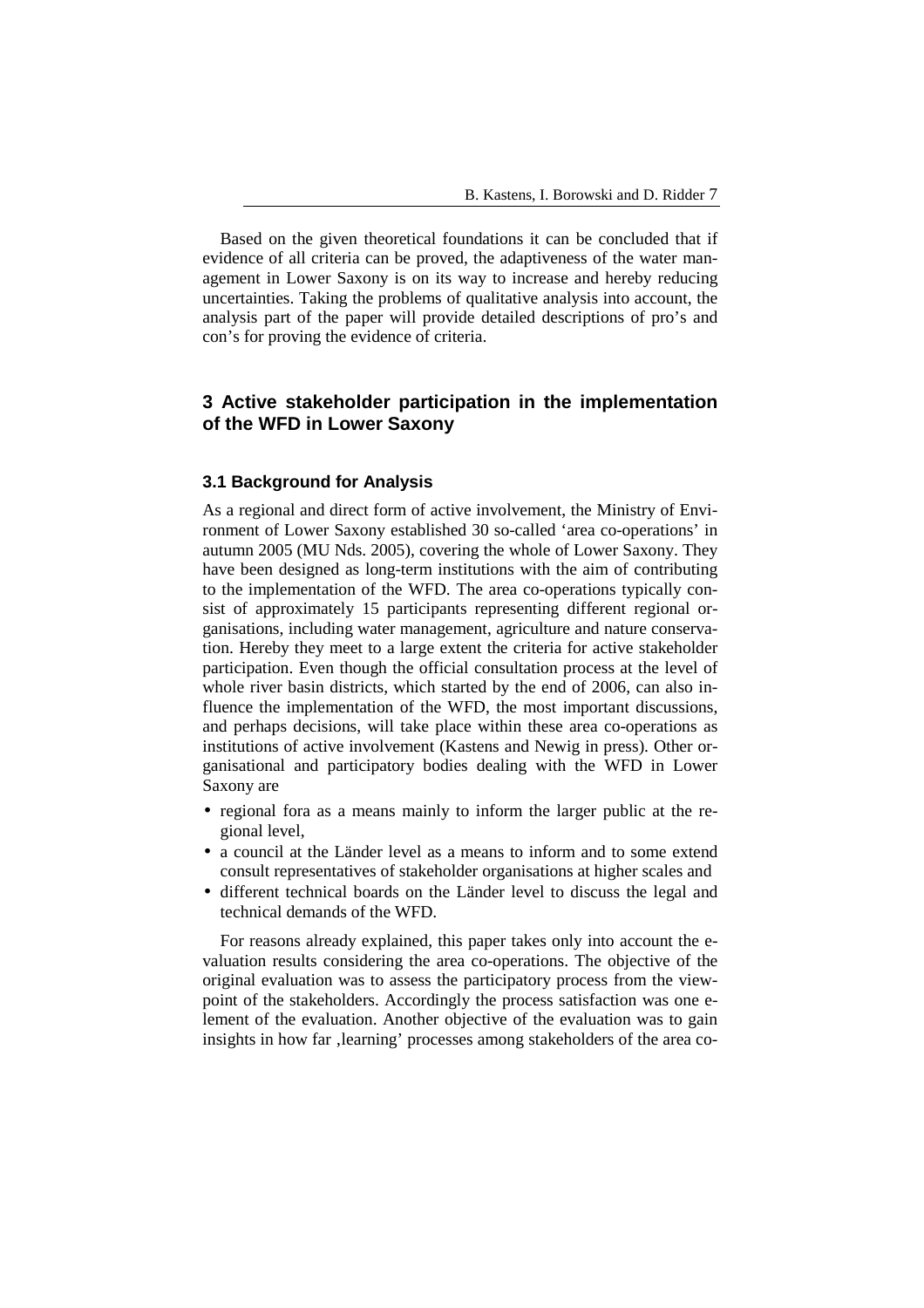Based on the given theoretical foundations it can be concluded that if evidence of all criteria can be proved, the adaptiveness of the water management in Lower Saxony is on its way to increase and hereby reducing uncertainties. Taking the problems of qualitative analysis into account, the analysis part of the paper will provide detailed descriptions of pro's and con's for proving the evidence of criteria.

# **3 Active stakeholder participation in the implementation of the WFD in Lower Saxony**

### **3.1 Background for Analysis**

As a regional and direct form of active involvement, the Ministry of Environment of Lower Saxony established 30 so-called 'area co-operations' in autumn 2005 (MU Nds. 2005), covering the whole of Lower Saxony. They have been designed as long-term institutions with the aim of contributing to the implementation of the WFD. The area co-operations typically consist of approximately 15 participants representing different regional organisations, including water management, agriculture and nature conservation. Hereby they meet to a large extent the criteria for active stakeholder participation. Even though the official consultation process at the level of whole river basin districts, which started by the end of 2006, can also influence the implementation of the WFD, the most important discussions, and perhaps decisions, will take place within these area co-operations as institutions of active involvement (Kastens and Newig in press). Other organisational and participatory bodies dealing with the WFD in Lower Saxony are

- regional fora as a means mainly to inform the larger public at the regional level,
- a council at the Länder level as a means to inform and to some extend consult representatives of stakeholder organisations at higher scales and
- different technical boards on the Länder level to discuss the legal and technical demands of the WFD.

 For reasons already explained, this paper takes only into account the evaluation results considering the area co-operations. The objective of the original evaluation was to assess the participatory process from the viewpoint of the stakeholders. Accordingly the process satisfaction was one element of the evaluation. Another objective of the evaluation was to gain insights in how far , learning' processes among stakeholders of the area co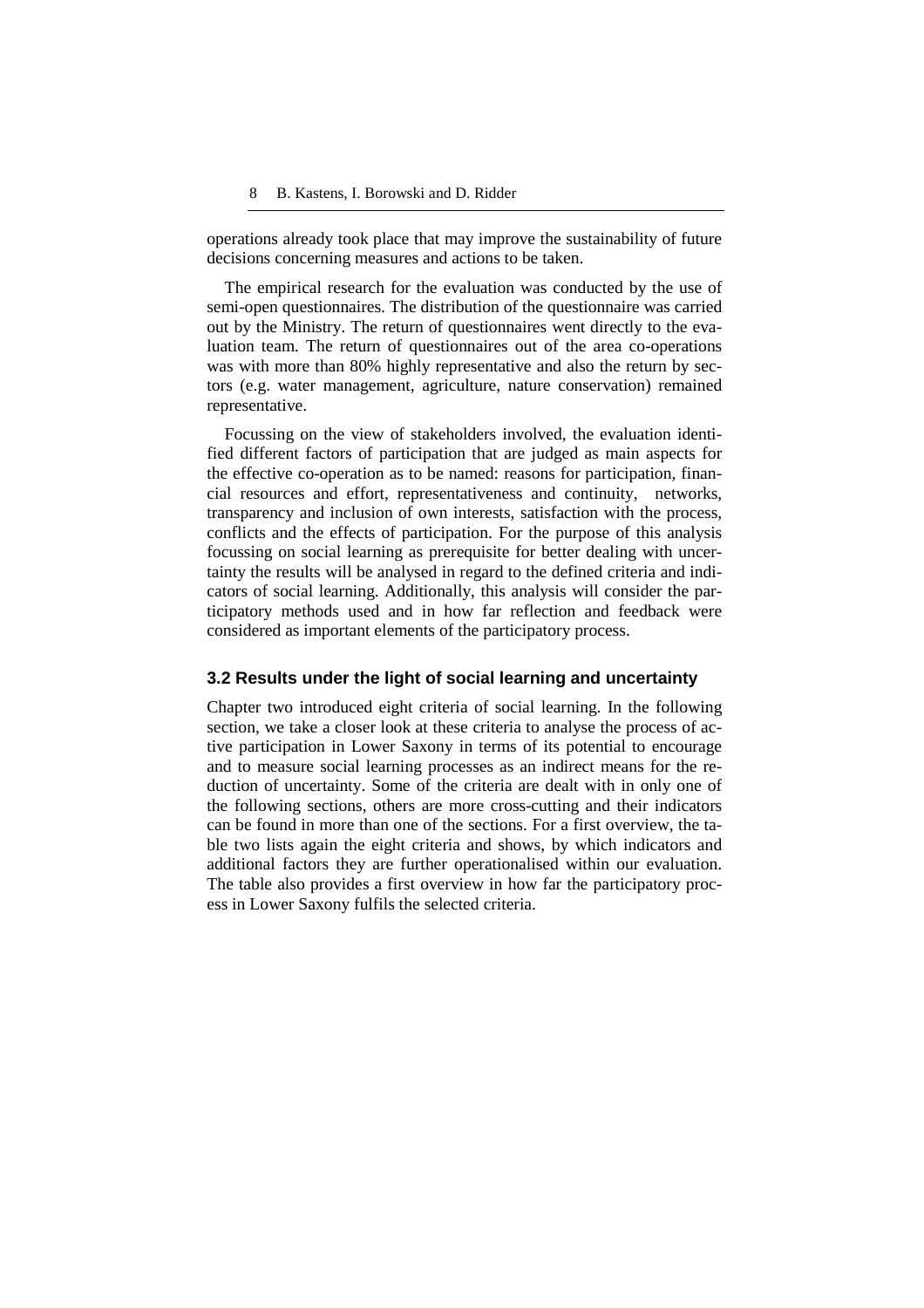operations already took place that may improve the sustainability of future decisions concerning measures and actions to be taken.

 The empirical research for the evaluation was conducted by the use of semi-open questionnaires. The distribution of the questionnaire was carried out by the Ministry. The return of questionnaires went directly to the evaluation team. The return of questionnaires out of the area co-operations was with more than 80% highly representative and also the return by sectors (e.g. water management, agriculture, nature conservation) remained representative.

 Focussing on the view of stakeholders involved, the evaluation identified different factors of participation that are judged as main aspects for the effective co-operation as to be named: reasons for participation, financial resources and effort, representativeness and continuity, networks, transparency and inclusion of own interests, satisfaction with the process, conflicts and the effects of participation. For the purpose of this analysis focussing on social learning as prerequisite for better dealing with uncertainty the results will be analysed in regard to the defined criteria and indicators of social learning. Additionally, this analysis will consider the participatory methods used and in how far reflection and feedback were considered as important elements of the participatory process.

# **3.2 Results under the light of social learning and uncertainty**

Chapter two introduced eight criteria of social learning. In the following section, we take a closer look at these criteria to analyse the process of active participation in Lower Saxony in terms of its potential to encourage and to measure social learning processes as an indirect means for the reduction of uncertainty. Some of the criteria are dealt with in only one of the following sections, others are more cross-cutting and their indicators can be found in more than one of the sections. For a first overview, the table two lists again the eight criteria and shows, by which indicators and additional factors they are further operationalised within our evaluation. The table also provides a first overview in how far the participatory process in Lower Saxony fulfils the selected criteria.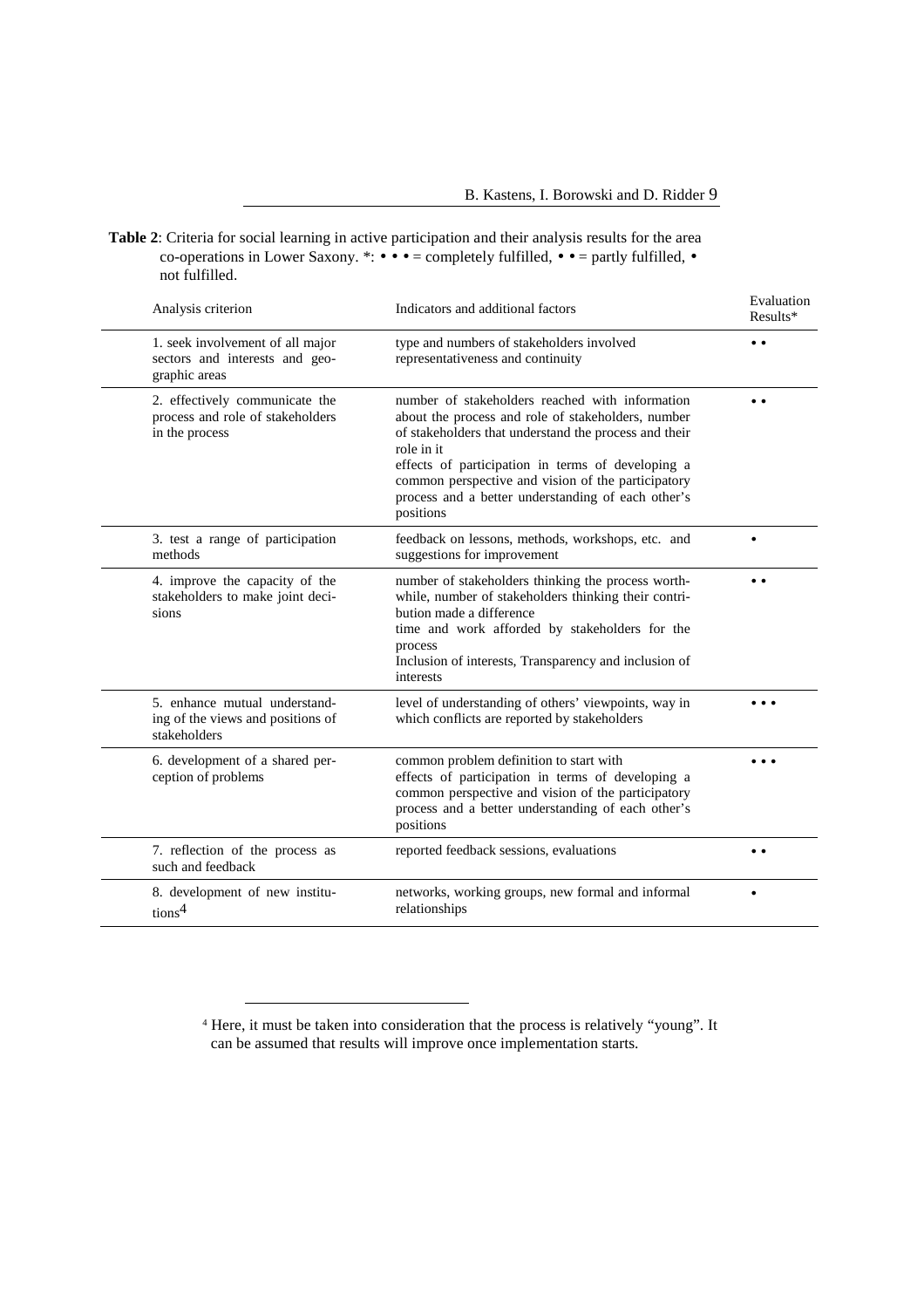**Table 2**: Criteria for social learning in active participation and their analysis results for the area co-operations in Lower Saxony. \*: • • • = completely fulfilled, • • = partly fulfilled, • not fulfilled.

| Analysis criterion                                                                   | Indicators and additional factors                                                                                                                                                                                                                                                                                                                          | Evaluation<br>Results* |
|--------------------------------------------------------------------------------------|------------------------------------------------------------------------------------------------------------------------------------------------------------------------------------------------------------------------------------------------------------------------------------------------------------------------------------------------------------|------------------------|
| 1. seek involvement of all major<br>sectors and interests and geo-<br>graphic areas  | type and numbers of stakeholders involved<br>representativeness and continuity                                                                                                                                                                                                                                                                             | $\bullet\bullet$       |
| 2. effectively communicate the<br>process and role of stakeholders<br>in the process | number of stakeholders reached with information<br>about the process and role of stakeholders, number<br>of stakeholders that understand the process and their<br>role in it<br>effects of participation in terms of developing a<br>common perspective and vision of the participatory<br>process and a better understanding of each other's<br>positions | $\bullet$ $\bullet$    |
| 3. test a range of participation<br>methods                                          | feedback on lessons, methods, workshops, etc. and<br>suggestions for improvement                                                                                                                                                                                                                                                                           |                        |
| 4. improve the capacity of the<br>stakeholders to make joint deci-<br>sions          | number of stakeholders thinking the process worth-<br>while, number of stakeholders thinking their contri-<br>bution made a difference<br>time and work afforded by stakeholders for the<br>process<br>Inclusion of interests, Transparency and inclusion of<br>interests                                                                                  |                        |
| 5. enhance mutual understand-<br>ing of the views and positions of<br>stakeholders   | level of understanding of others' viewpoints, way in<br>which conflicts are reported by stakeholders                                                                                                                                                                                                                                                       |                        |
| 6. development of a shared per-<br>ception of problems                               | common problem definition to start with<br>effects of participation in terms of developing a<br>common perspective and vision of the participatory<br>process and a better understanding of each other's<br>positions                                                                                                                                      |                        |
| 7. reflection of the process as<br>such and feedback                                 | reported feedback sessions, evaluations                                                                                                                                                                                                                                                                                                                    | $\bullet\bullet$       |
| 8. development of new institu-<br>tions <sup>4</sup>                                 | networks, working groups, new formal and informal<br>relationships                                                                                                                                                                                                                                                                                         |                        |

 $\overline{a}$ 

<sup>&</sup>lt;sup>4</sup> Here, it must be taken into consideration that the process is relatively "young". It can be assumed that results will improve once implementation starts.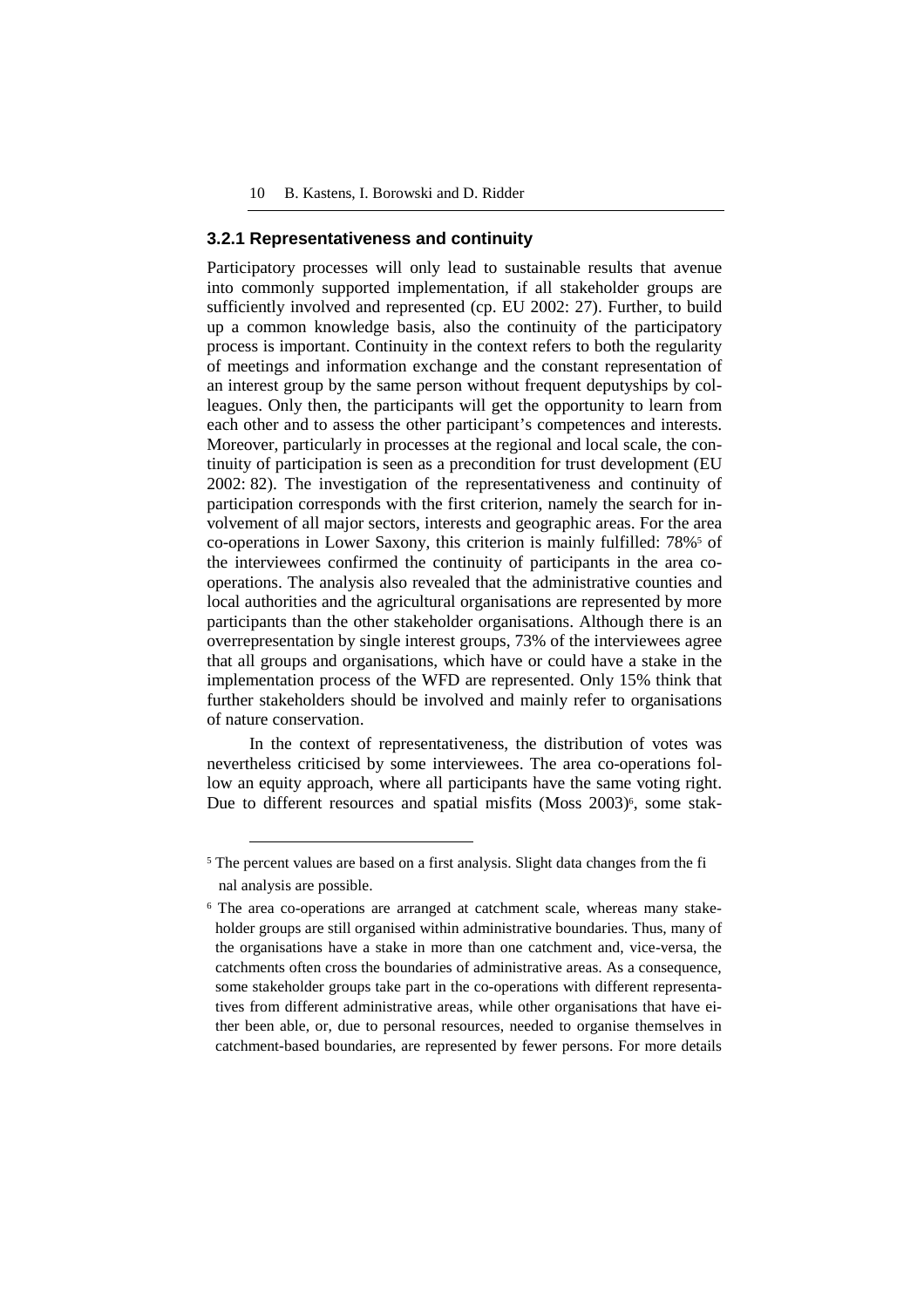#### **3.2.1 Representativeness and continuity**

Participatory processes will only lead to sustainable results that avenue into commonly supported implementation, if all stakeholder groups are sufficiently involved and represented (cp. EU 2002: 27). Further, to build up a common knowledge basis, also the continuity of the participatory process is important. Continuity in the context refers to both the regularity of meetings and information exchange and the constant representation of an interest group by the same person without frequent deputyships by colleagues. Only then, the participants will get the opportunity to learn from each other and to assess the other participant's competences and interests. Moreover, particularly in processes at the regional and local scale, the continuity of participation is seen as a precondition for trust development (EU 2002: 82). The investigation of the representativeness and continuity of participation corresponds with the first criterion, namely the search for involvement of all major sectors, interests and geographic areas. For the area co-operations in Lower Saxony, this criterion is mainly fulfilled: 78%<sup>5</sup> of the interviewees confirmed the continuity of participants in the area cooperations. The analysis also revealed that the administrative counties and local authorities and the agricultural organisations are represented by more participants than the other stakeholder organisations. Although there is an overrepresentation by single interest groups, 73% of the interviewees agree that all groups and organisations, which have or could have a stake in the implementation process of the WFD are represented. Only 15% think that further stakeholders should be involved and mainly refer to organisations of nature conservation.

In the context of representativeness, the distribution of votes was nevertheless criticised by some interviewees. The area co-operations follow an equity approach, where all participants have the same voting right. Due to different resources and spatial misfits (Moss 2003)<sup>6</sup>, some stak-

 $\overline{a}$ 

<sup>&</sup>lt;sup>5</sup> The percent values are based on a first analysis. Slight data changes from the fi nal analysis are possible.

<sup>&</sup>lt;sup>6</sup> The area co-operations are arranged at catchment scale, whereas many stakeholder groups are still organised within administrative boundaries. Thus, many of the organisations have a stake in more than one catchment and, vice-versa, the catchments often cross the boundaries of administrative areas. As a consequence, some stakeholder groups take part in the co-operations with different representatives from different administrative areas, while other organisations that have either been able, or, due to personal resources, needed to organise themselves in catchment-based boundaries, are represented by fewer persons. For more details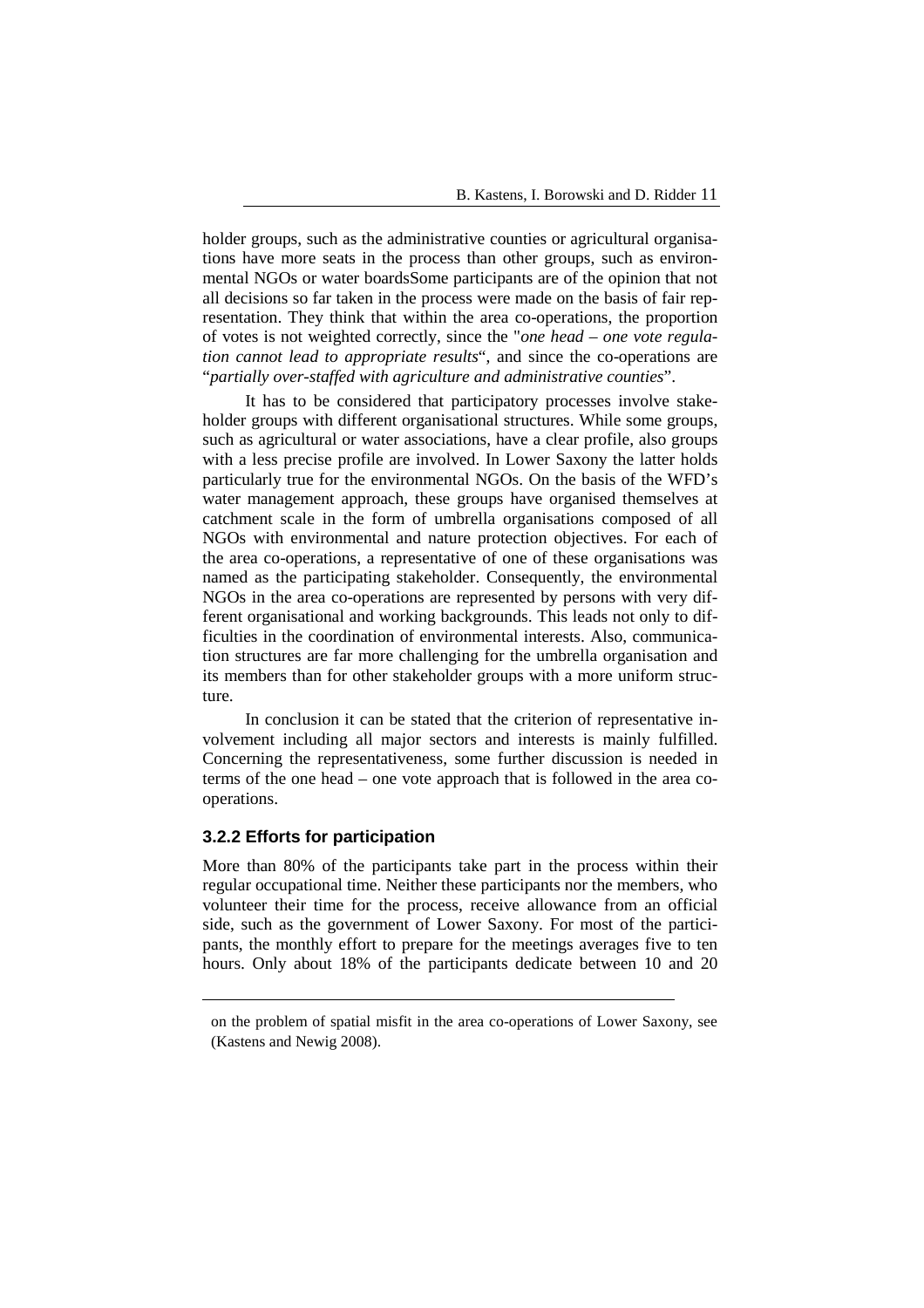holder groups, such as the administrative counties or agricultural organisations have more seats in the process than other groups, such as environmental NGOs or water boardsSome participants are of the opinion that not all decisions so far taken in the process were made on the basis of fair representation. They think that within the area co-operations, the proportion of votes is not weighted correctly, since the "*one head – one vote regulation cannot lead to appropriate results*", and since the co-operations are "*partially over-staffed with agriculture and administrative counties*".

It has to be considered that participatory processes involve stakeholder groups with different organisational structures. While some groups, such as agricultural or water associations, have a clear profile, also groups with a less precise profile are involved. In Lower Saxony the latter holds particularly true for the environmental NGOs. On the basis of the WFD's water management approach, these groups have organised themselves at catchment scale in the form of umbrella organisations composed of all NGOs with environmental and nature protection objectives. For each of the area co-operations, a representative of one of these organisations was named as the participating stakeholder. Consequently, the environmental NGOs in the area co-operations are represented by persons with very different organisational and working backgrounds. This leads not only to difficulties in the coordination of environmental interests. Also, communication structures are far more challenging for the umbrella organisation and its members than for other stakeholder groups with a more uniform structure.

In conclusion it can be stated that the criterion of representative involvement including all major sectors and interests is mainly fulfilled. Concerning the representativeness, some further discussion is needed in terms of the one head – one vote approach that is followed in the area cooperations.

#### **3.2.2 Efforts for participation**

 $\overline{a}$ 

More than 80% of the participants take part in the process within their regular occupational time. Neither these participants nor the members, who volunteer their time for the process, receive allowance from an official side, such as the government of Lower Saxony. For most of the participants, the monthly effort to prepare for the meetings averages five to ten hours. Only about 18% of the participants dedicate between 10 and 20

on the problem of spatial misfit in the area co-operations of Lower Saxony, see (Kastens and Newig 2008).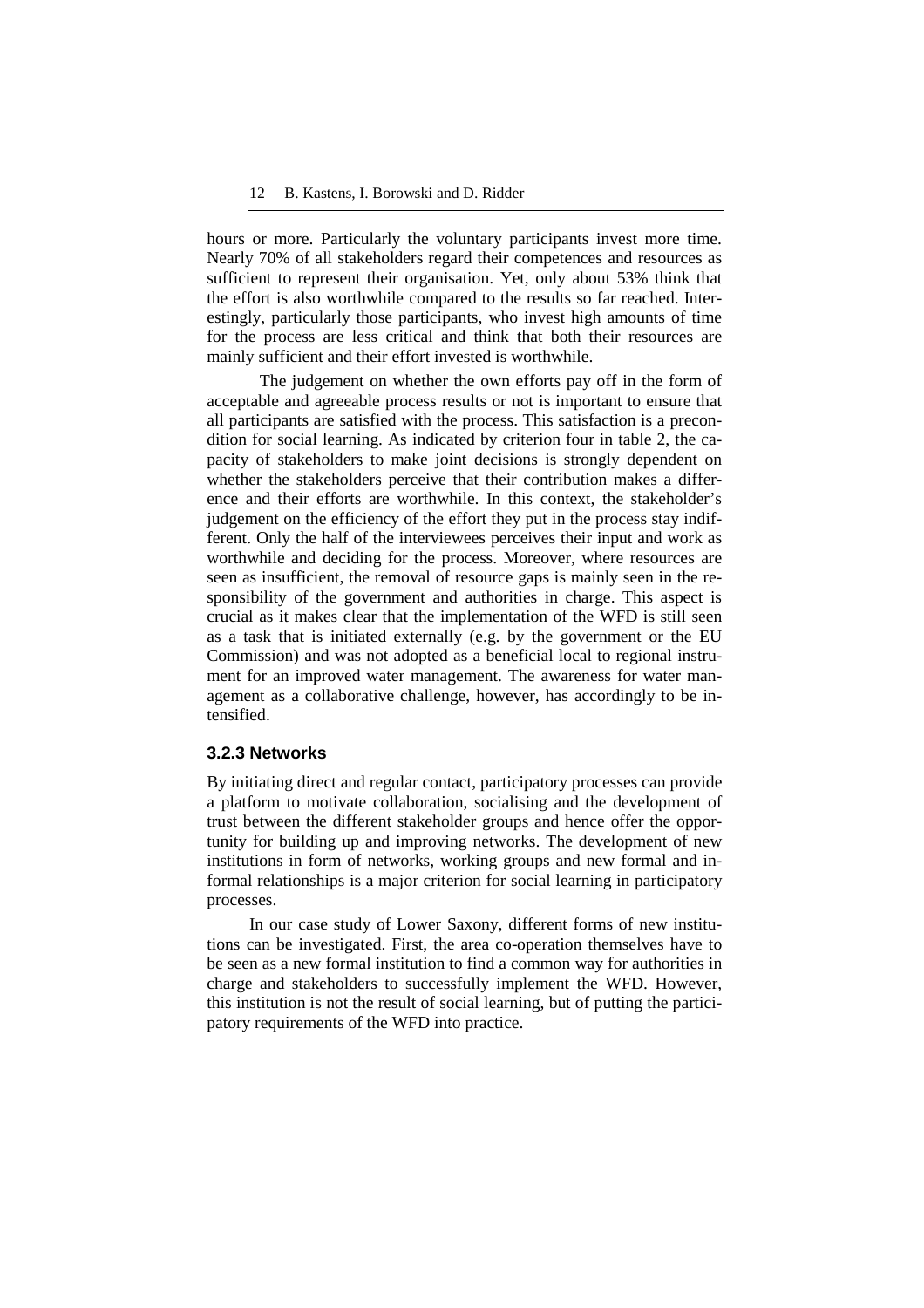hours or more. Particularly the voluntary participants invest more time. Nearly 70% of all stakeholders regard their competences and resources as sufficient to represent their organisation. Yet, only about 53% think that the effort is also worthwhile compared to the results so far reached. Interestingly, particularly those participants, who invest high amounts of time for the process are less critical and think that both their resources are mainly sufficient and their effort invested is worthwhile.

The judgement on whether the own efforts pay off in the form of acceptable and agreeable process results or not is important to ensure that all participants are satisfied with the process. This satisfaction is a precondition for social learning. As indicated by criterion four in table 2, the capacity of stakeholders to make joint decisions is strongly dependent on whether the stakeholders perceive that their contribution makes a difference and their efforts are worthwhile. In this context, the stakeholder's judgement on the efficiency of the effort they put in the process stay indifferent. Only the half of the interviewees perceives their input and work as worthwhile and deciding for the process. Moreover, where resources are seen as insufficient, the removal of resource gaps is mainly seen in the responsibility of the government and authorities in charge. This aspect is crucial as it makes clear that the implementation of the WFD is still seen as a task that is initiated externally (e.g. by the government or the EU Commission) and was not adopted as a beneficial local to regional instrument for an improved water management. The awareness for water management as a collaborative challenge, however, has accordingly to be intensified.

#### **3.2.3 Networks**

By initiating direct and regular contact, participatory processes can provide a platform to motivate collaboration, socialising and the development of trust between the different stakeholder groups and hence offer the opportunity for building up and improving networks. The development of new institutions in form of networks, working groups and new formal and informal relationships is a major criterion for social learning in participatory processes.

In our case study of Lower Saxony, different forms of new institutions can be investigated. First, the area co-operation themselves have to be seen as a new formal institution to find a common way for authorities in charge and stakeholders to successfully implement the WFD. However, this institution is not the result of social learning, but of putting the participatory requirements of the WFD into practice.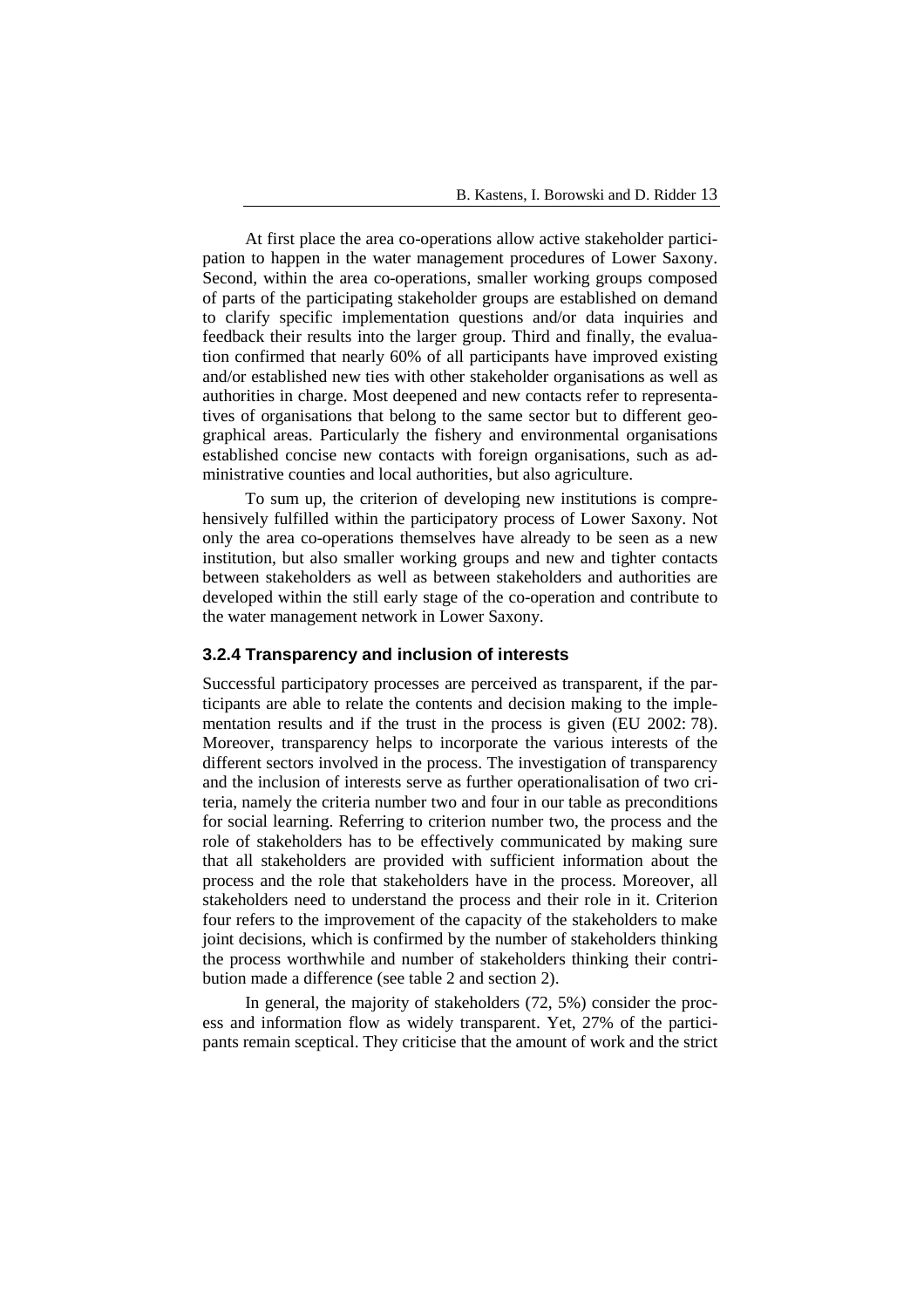At first place the area co-operations allow active stakeholder participation to happen in the water management procedures of Lower Saxony. Second, within the area co-operations, smaller working groups composed of parts of the participating stakeholder groups are established on demand to clarify specific implementation questions and/or data inquiries and feedback their results into the larger group. Third and finally, the evaluation confirmed that nearly 60% of all participants have improved existing and/or established new ties with other stakeholder organisations as well as authorities in charge. Most deepened and new contacts refer to representatives of organisations that belong to the same sector but to different geographical areas. Particularly the fishery and environmental organisations established concise new contacts with foreign organisations, such as administrative counties and local authorities, but also agriculture.

To sum up, the criterion of developing new institutions is comprehensively fulfilled within the participatory process of Lower Saxony. Not only the area co-operations themselves have already to be seen as a new institution, but also smaller working groups and new and tighter contacts between stakeholders as well as between stakeholders and authorities are developed within the still early stage of the co-operation and contribute to the water management network in Lower Saxony.

### **3.2.4 Transparency and inclusion of interests**

Successful participatory processes are perceived as transparent, if the participants are able to relate the contents and decision making to the implementation results and if the trust in the process is given (EU 2002: 78). Moreover, transparency helps to incorporate the various interests of the different sectors involved in the process. The investigation of transparency and the inclusion of interests serve as further operationalisation of two criteria, namely the criteria number two and four in our table as preconditions for social learning. Referring to criterion number two, the process and the role of stakeholders has to be effectively communicated by making sure that all stakeholders are provided with sufficient information about the process and the role that stakeholders have in the process. Moreover, all stakeholders need to understand the process and their role in it. Criterion four refers to the improvement of the capacity of the stakeholders to make joint decisions, which is confirmed by the number of stakeholders thinking the process worthwhile and number of stakeholders thinking their contribution made a difference (see table 2 and section 2).

In general, the majority of stakeholders (72, 5%) consider the process and information flow as widely transparent. Yet, 27% of the participants remain sceptical. They criticise that the amount of work and the strict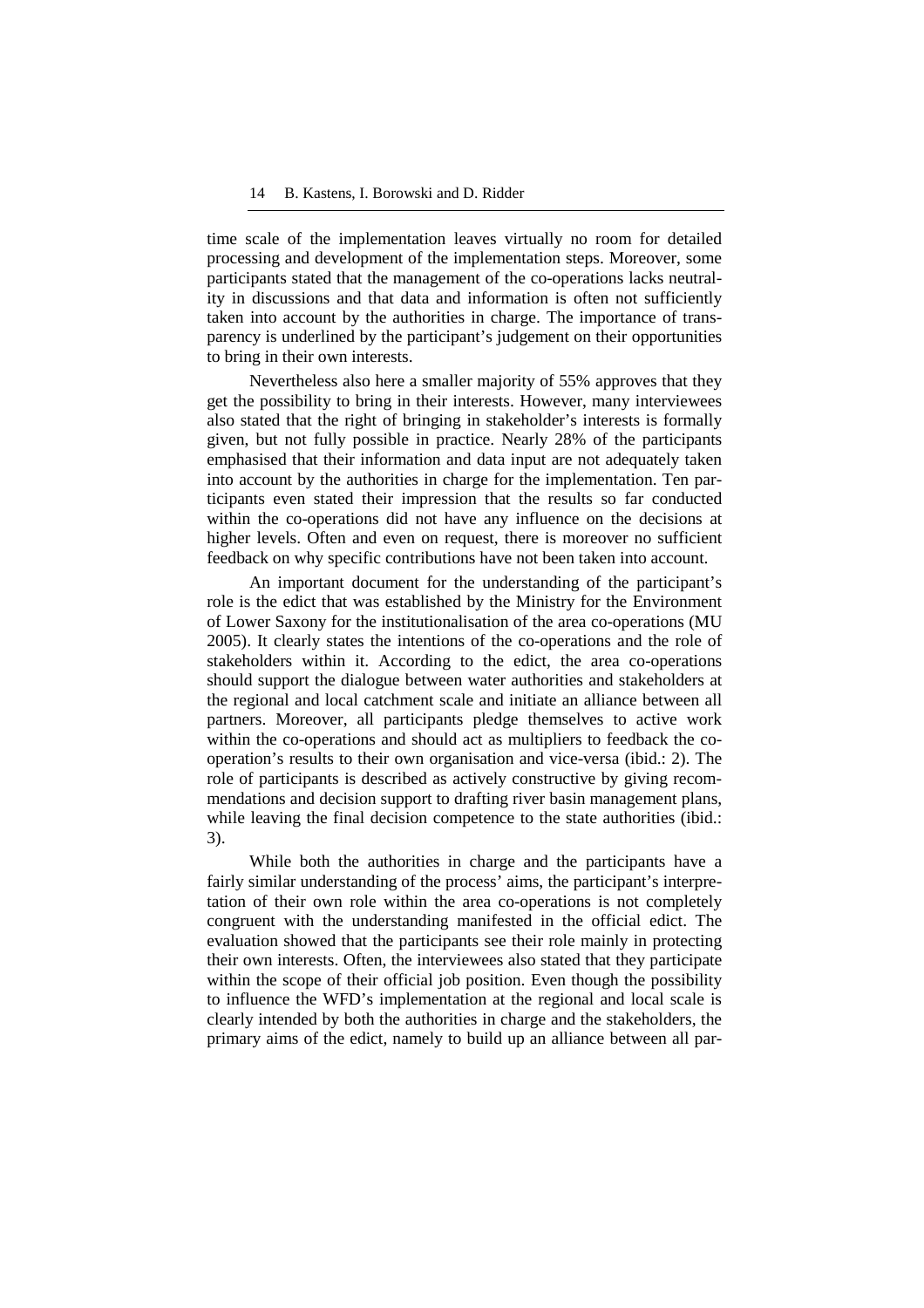time scale of the implementation leaves virtually no room for detailed processing and development of the implementation steps. Moreover, some participants stated that the management of the co-operations lacks neutrality in discussions and that data and information is often not sufficiently taken into account by the authorities in charge. The importance of transparency is underlined by the participant's judgement on their opportunities to bring in their own interests.

Nevertheless also here a smaller majority of 55% approves that they get the possibility to bring in their interests. However, many interviewees also stated that the right of bringing in stakeholder's interests is formally given, but not fully possible in practice. Nearly 28% of the participants emphasised that their information and data input are not adequately taken into account by the authorities in charge for the implementation. Ten participants even stated their impression that the results so far conducted within the co-operations did not have any influence on the decisions at higher levels. Often and even on request, there is moreover no sufficient feedback on why specific contributions have not been taken into account.

An important document for the understanding of the participant's role is the edict that was established by the Ministry for the Environment of Lower Saxony for the institutionalisation of the area co-operations (MU 2005). It clearly states the intentions of the co-operations and the role of stakeholders within it. According to the edict, the area co-operations should support the dialogue between water authorities and stakeholders at the regional and local catchment scale and initiate an alliance between all partners. Moreover, all participants pledge themselves to active work within the co-operations and should act as multipliers to feedback the cooperation's results to their own organisation and vice-versa (ibid.: 2). The role of participants is described as actively constructive by giving recommendations and decision support to drafting river basin management plans, while leaving the final decision competence to the state authorities (ibid.: 3).

While both the authorities in charge and the participants have a fairly similar understanding of the process' aims, the participant's interpretation of their own role within the area co-operations is not completely congruent with the understanding manifested in the official edict. The evaluation showed that the participants see their role mainly in protecting their own interests. Often, the interviewees also stated that they participate within the scope of their official job position. Even though the possibility to influence the WFD's implementation at the regional and local scale is clearly intended by both the authorities in charge and the stakeholders, the primary aims of the edict, namely to build up an alliance between all par-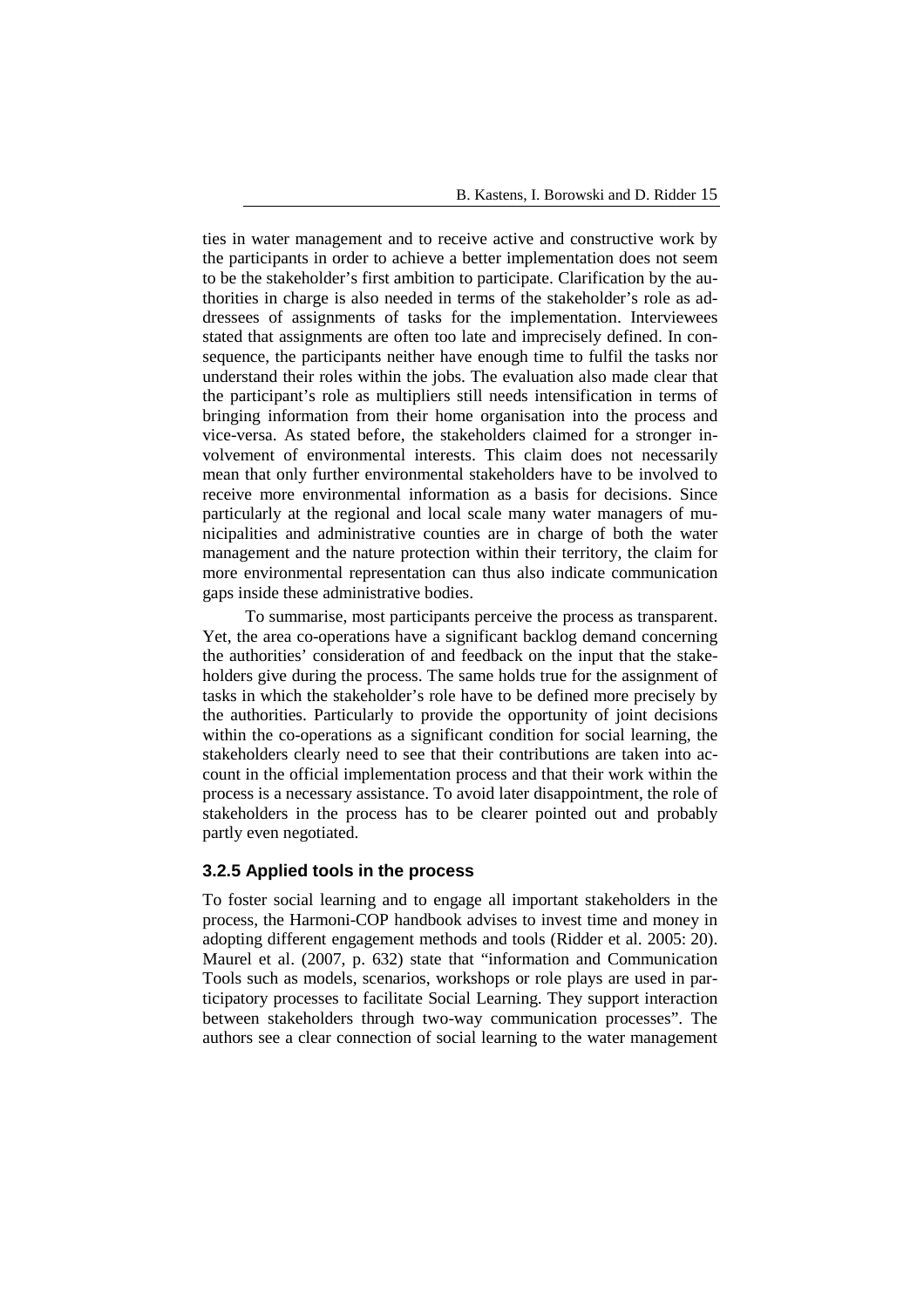ties in water management and to receive active and constructive work by the participants in order to achieve a better implementation does not seem to be the stakeholder's first ambition to participate. Clarification by the authorities in charge is also needed in terms of the stakeholder's role as addressees of assignments of tasks for the implementation. Interviewees stated that assignments are often too late and imprecisely defined. In consequence, the participants neither have enough time to fulfil the tasks nor understand their roles within the jobs. The evaluation also made clear that the participant's role as multipliers still needs intensification in terms of bringing information from their home organisation into the process and vice-versa. As stated before, the stakeholders claimed for a stronger involvement of environmental interests. This claim does not necessarily mean that only further environmental stakeholders have to be involved to receive more environmental information as a basis for decisions. Since particularly at the regional and local scale many water managers of municipalities and administrative counties are in charge of both the water management and the nature protection within their territory, the claim for more environmental representation can thus also indicate communication gaps inside these administrative bodies.

To summarise, most participants perceive the process as transparent. Yet, the area co-operations have a significant backlog demand concerning the authorities' consideration of and feedback on the input that the stakeholders give during the process. The same holds true for the assignment of tasks in which the stakeholder's role have to be defined more precisely by the authorities. Particularly to provide the opportunity of joint decisions within the co-operations as a significant condition for social learning, the stakeholders clearly need to see that their contributions are taken into account in the official implementation process and that their work within the process is a necessary assistance. To avoid later disappointment, the role of stakeholders in the process has to be clearer pointed out and probably partly even negotiated.

#### **3.2.5 Applied tools in the process**

To foster social learning and to engage all important stakeholders in the process, the Harmoni-COP handbook advises to invest time and money in adopting different engagement methods and tools (Ridder et al. 2005: 20). Maurel et al. (2007, p. 632) state that "information and Communication Tools such as models, scenarios, workshops or role plays are used in participatory processes to facilitate Social Learning. They support interaction between stakeholders through two-way communication processes". The authors see a clear connection of social learning to the water management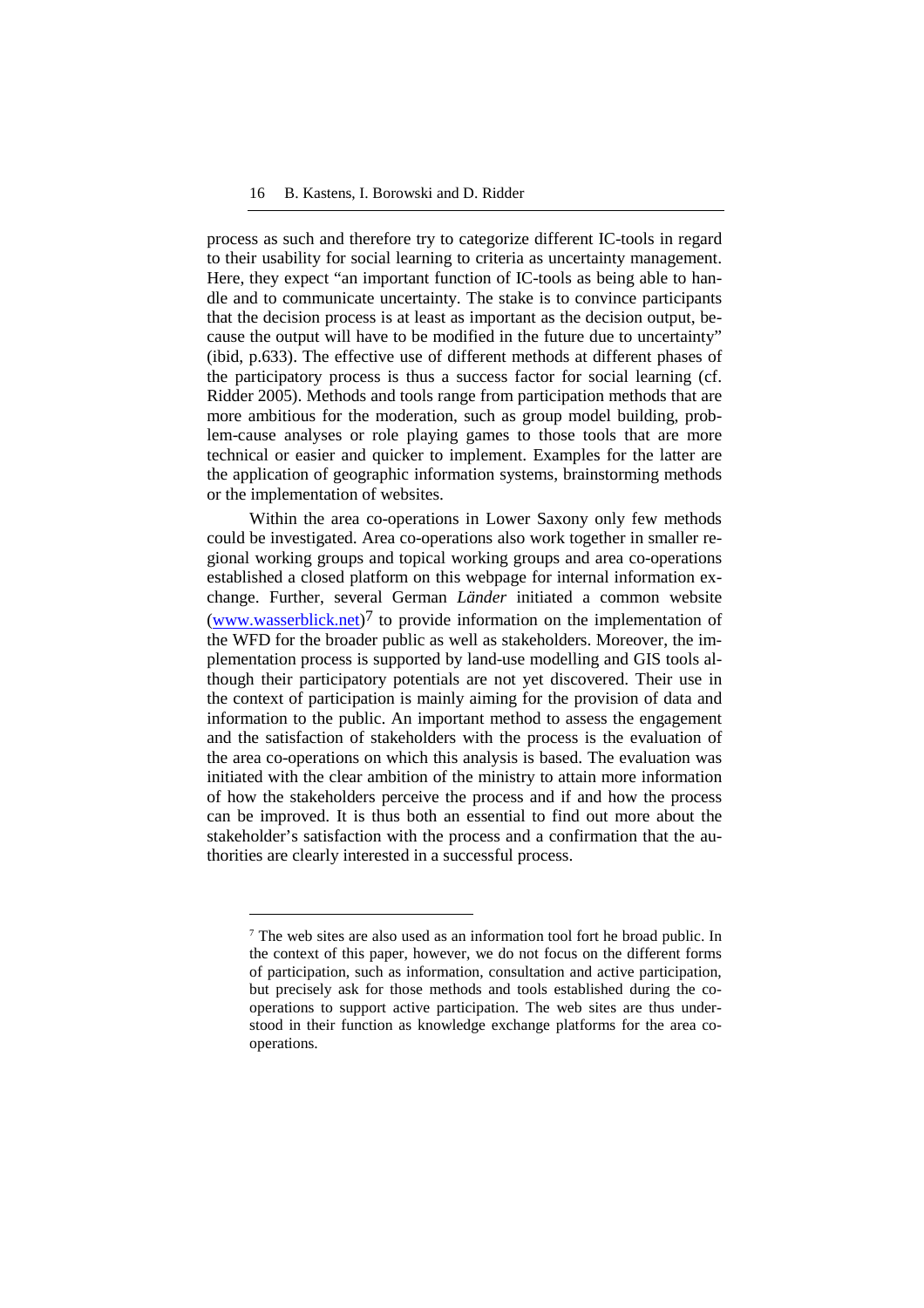process as such and therefore try to categorize different IC-tools in regard to their usability for social learning to criteria as uncertainty management. Here, they expect "an important function of IC-tools as being able to handle and to communicate uncertainty. The stake is to convince participants that the decision process is at least as important as the decision output, because the output will have to be modified in the future due to uncertainty" (ibid, p.633). The effective use of different methods at different phases of the participatory process is thus a success factor for social learning (cf. Ridder 2005). Methods and tools range from participation methods that are more ambitious for the moderation, such as group model building, problem-cause analyses or role playing games to those tools that are more technical or easier and quicker to implement. Examples for the latter are the application of geographic information systems, brainstorming methods or the implementation of websites.

Within the area co-operations in Lower Saxony only few methods could be investigated. Area co-operations also work together in smaller regional working groups and topical working groups and area co-operations established a closed platform on this webpage for internal information exchange. Further, several German *Länder* initiated a common website (www.wasserblick.net)<sup>7</sup> to provide information on the implementation of the WFD for the broader public as well as stakeholders. Moreover, the implementation process is supported by land-use modelling and GIS tools although their participatory potentials are not yet discovered. Their use in the context of participation is mainly aiming for the provision of data and information to the public. An important method to assess the engagement and the satisfaction of stakeholders with the process is the evaluation of the area co-operations on which this analysis is based. The evaluation was initiated with the clear ambition of the ministry to attain more information of how the stakeholders perceive the process and if and how the process can be improved. It is thus both an essential to find out more about the stakeholder's satisfaction with the process and a confirmation that the authorities are clearly interested in a successful process.

 $\overline{a}$ 

<sup>&</sup>lt;sup>7</sup> The web sites are also used as an information tool fort he broad public. In the context of this paper, however, we do not focus on the different forms of participation, such as information, consultation and active participation, but precisely ask for those methods and tools established during the cooperations to support active participation. The web sites are thus understood in their function as knowledge exchange platforms for the area cooperations.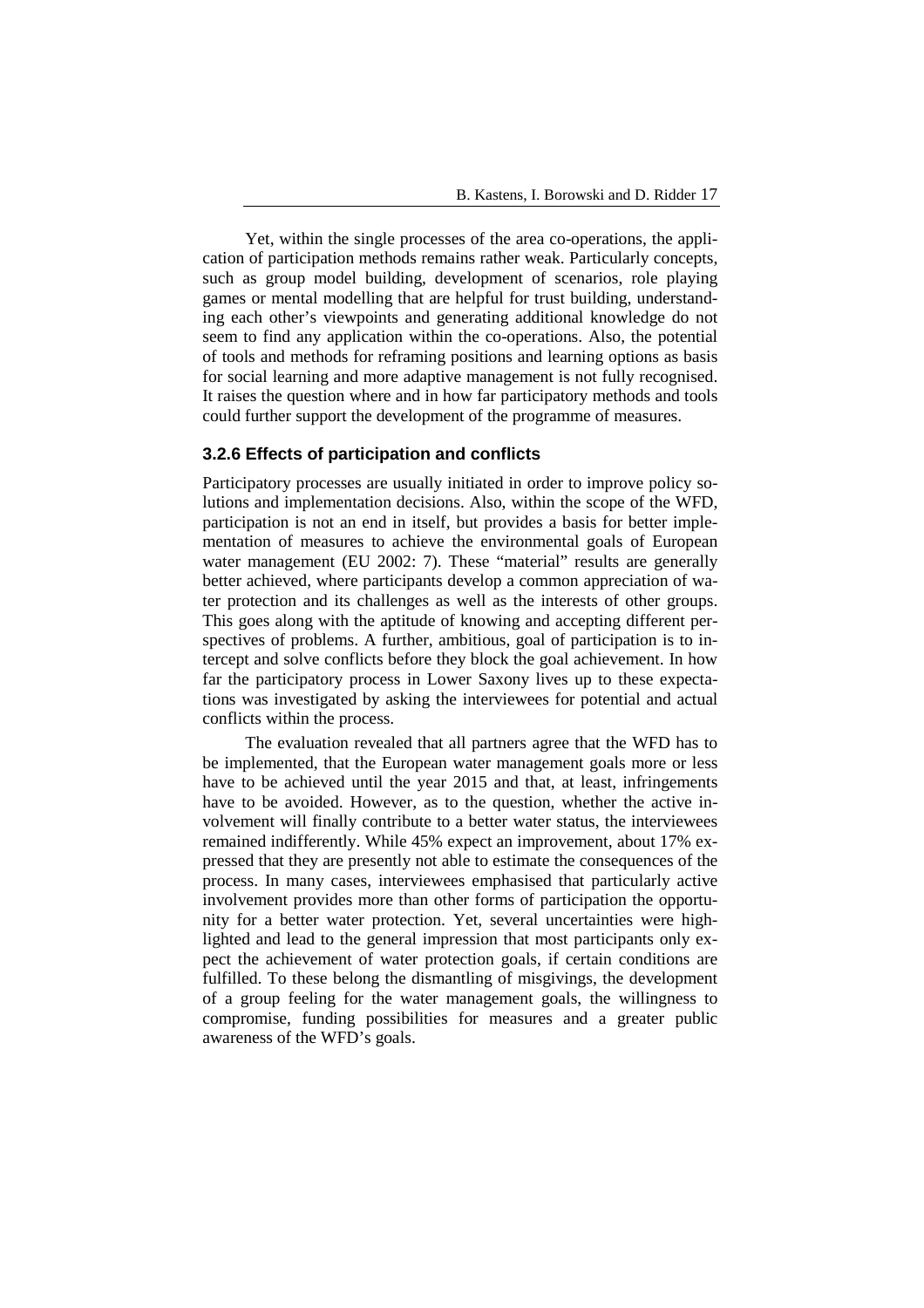Yet, within the single processes of the area co-operations, the application of participation methods remains rather weak. Particularly concepts, such as group model building, development of scenarios, role playing games or mental modelling that are helpful for trust building, understanding each other's viewpoints and generating additional knowledge do not seem to find any application within the co-operations. Also, the potential of tools and methods for reframing positions and learning options as basis for social learning and more adaptive management is not fully recognised. It raises the question where and in how far participatory methods and tools could further support the development of the programme of measures.

# **3.2.6 Effects of participation and conflicts**

Participatory processes are usually initiated in order to improve policy solutions and implementation decisions. Also, within the scope of the WFD, participation is not an end in itself, but provides a basis for better implementation of measures to achieve the environmental goals of European water management (EU 2002: 7). These "material" results are generally better achieved, where participants develop a common appreciation of water protection and its challenges as well as the interests of other groups. This goes along with the aptitude of knowing and accepting different perspectives of problems. A further, ambitious, goal of participation is to intercept and solve conflicts before they block the goal achievement. In how far the participatory process in Lower Saxony lives up to these expectations was investigated by asking the interviewees for potential and actual conflicts within the process.

The evaluation revealed that all partners agree that the WFD has to be implemented, that the European water management goals more or less have to be achieved until the year 2015 and that, at least, infringements have to be avoided. However, as to the question, whether the active involvement will finally contribute to a better water status, the interviewees remained indifferently. While 45% expect an improvement, about 17% expressed that they are presently not able to estimate the consequences of the process. In many cases, interviewees emphasised that particularly active involvement provides more than other forms of participation the opportunity for a better water protection. Yet, several uncertainties were highlighted and lead to the general impression that most participants only expect the achievement of water protection goals, if certain conditions are fulfilled. To these belong the dismantling of misgivings, the development of a group feeling for the water management goals, the willingness to compromise, funding possibilities for measures and a greater public awareness of the WFD's goals.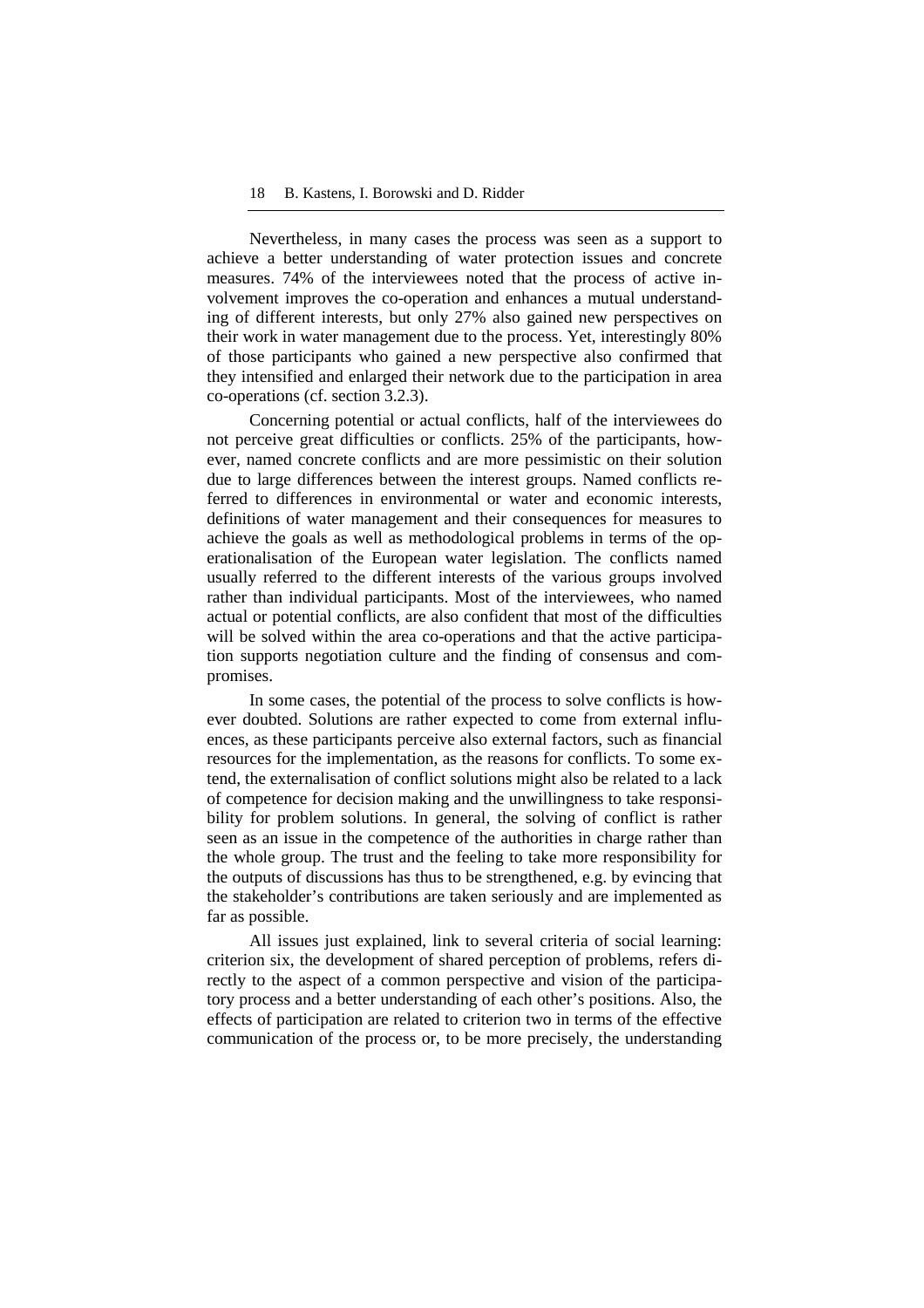Nevertheless, in many cases the process was seen as a support to achieve a better understanding of water protection issues and concrete measures. 74% of the interviewees noted that the process of active involvement improves the co-operation and enhances a mutual understanding of different interests, but only 27% also gained new perspectives on their work in water management due to the process. Yet, interestingly 80% of those participants who gained a new perspective also confirmed that they intensified and enlarged their network due to the participation in area co-operations (cf. section 3.2.3).

Concerning potential or actual conflicts, half of the interviewees do not perceive great difficulties or conflicts. 25% of the participants, however, named concrete conflicts and are more pessimistic on their solution due to large differences between the interest groups. Named conflicts referred to differences in environmental or water and economic interests, definitions of water management and their consequences for measures to achieve the goals as well as methodological problems in terms of the operationalisation of the European water legislation. The conflicts named usually referred to the different interests of the various groups involved rather than individual participants. Most of the interviewees, who named actual or potential conflicts, are also confident that most of the difficulties will be solved within the area co-operations and that the active participation supports negotiation culture and the finding of consensus and compromises.

In some cases, the potential of the process to solve conflicts is however doubted. Solutions are rather expected to come from external influences, as these participants perceive also external factors, such as financial resources for the implementation, as the reasons for conflicts. To some extend, the externalisation of conflict solutions might also be related to a lack of competence for decision making and the unwillingness to take responsibility for problem solutions. In general, the solving of conflict is rather seen as an issue in the competence of the authorities in charge rather than the whole group. The trust and the feeling to take more responsibility for the outputs of discussions has thus to be strengthened, e.g. by evincing that the stakeholder's contributions are taken seriously and are implemented as far as possible.

All issues just explained, link to several criteria of social learning: criterion six, the development of shared perception of problems, refers directly to the aspect of a common perspective and vision of the participatory process and a better understanding of each other's positions. Also, the effects of participation are related to criterion two in terms of the effective communication of the process or, to be more precisely, the understanding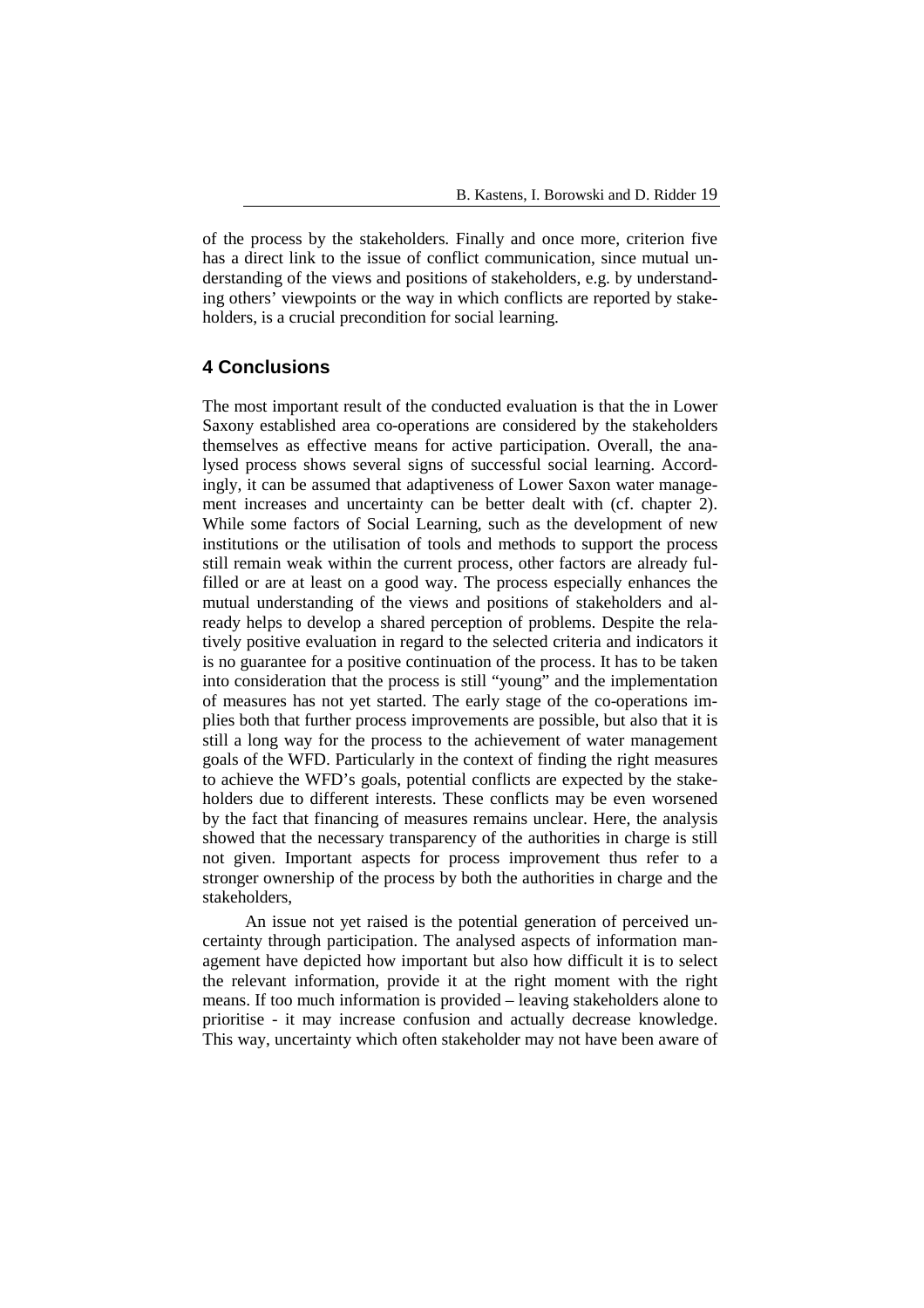of the process by the stakeholders. Finally and once more, criterion five has a direct link to the issue of conflict communication, since mutual understanding of the views and positions of stakeholders, e.g. by understanding others' viewpoints or the way in which conflicts are reported by stakeholders, is a crucial precondition for social learning.

# **4 Conclusions**

The most important result of the conducted evaluation is that the in Lower Saxony established area co-operations are considered by the stakeholders themselves as effective means for active participation. Overall, the analysed process shows several signs of successful social learning. Accordingly, it can be assumed that adaptiveness of Lower Saxon water management increases and uncertainty can be better dealt with (cf. chapter 2). While some factors of Social Learning, such as the development of new institutions or the utilisation of tools and methods to support the process still remain weak within the current process, other factors are already fulfilled or are at least on a good way. The process especially enhances the mutual understanding of the views and positions of stakeholders and already helps to develop a shared perception of problems. Despite the relatively positive evaluation in regard to the selected criteria and indicators it is no guarantee for a positive continuation of the process. It has to be taken into consideration that the process is still "young" and the implementation of measures has not yet started. The early stage of the co-operations implies both that further process improvements are possible, but also that it is still a long way for the process to the achievement of water management goals of the WFD. Particularly in the context of finding the right measures to achieve the WFD's goals, potential conflicts are expected by the stakeholders due to different interests. These conflicts may be even worsened by the fact that financing of measures remains unclear. Here, the analysis showed that the necessary transparency of the authorities in charge is still not given. Important aspects for process improvement thus refer to a stronger ownership of the process by both the authorities in charge and the stakeholders,

An issue not yet raised is the potential generation of perceived uncertainty through participation. The analysed aspects of information management have depicted how important but also how difficult it is to select the relevant information, provide it at the right moment with the right means. If too much information is provided – leaving stakeholders alone to prioritise - it may increase confusion and actually decrease knowledge. This way, uncertainty which often stakeholder may not have been aware of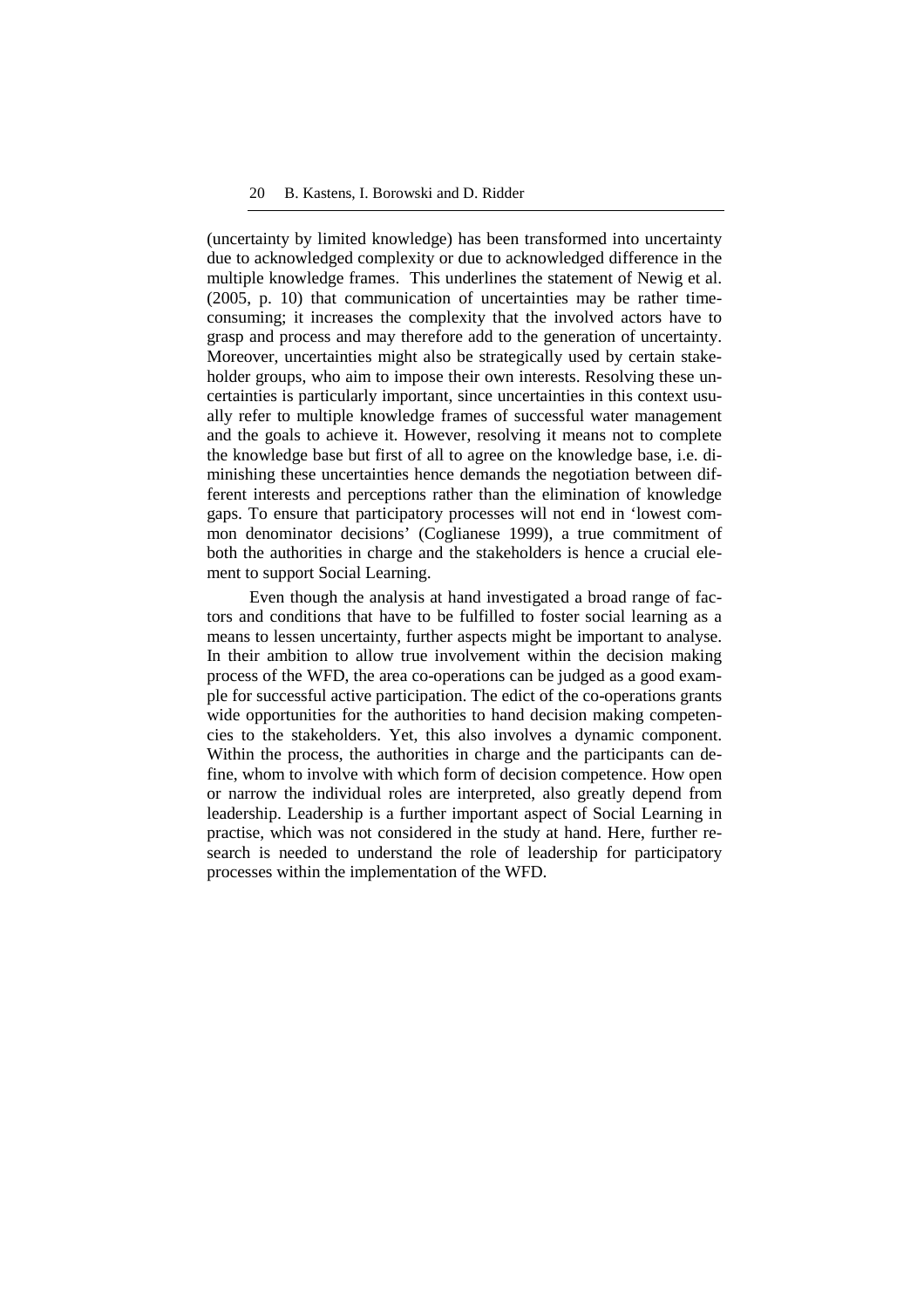(uncertainty by limited knowledge) has been transformed into uncertainty due to acknowledged complexity or due to acknowledged difference in the multiple knowledge frames. This underlines the statement of Newig et al. (2005, p. 10) that communication of uncertainties may be rather timeconsuming; it increases the complexity that the involved actors have to grasp and process and may therefore add to the generation of uncertainty. Moreover, uncertainties might also be strategically used by certain stakeholder groups, who aim to impose their own interests. Resolving these uncertainties is particularly important, since uncertainties in this context usually refer to multiple knowledge frames of successful water management and the goals to achieve it. However, resolving it means not to complete the knowledge base but first of all to agree on the knowledge base, i.e. diminishing these uncertainties hence demands the negotiation between different interests and perceptions rather than the elimination of knowledge gaps. To ensure that participatory processes will not end in 'lowest common denominator decisions' (Coglianese 1999), a true commitment of both the authorities in charge and the stakeholders is hence a crucial element to support Social Learning.

Even though the analysis at hand investigated a broad range of factors and conditions that have to be fulfilled to foster social learning as a means to lessen uncertainty, further aspects might be important to analyse. In their ambition to allow true involvement within the decision making process of the WFD, the area co-operations can be judged as a good example for successful active participation. The edict of the co-operations grants wide opportunities for the authorities to hand decision making competencies to the stakeholders. Yet, this also involves a dynamic component. Within the process, the authorities in charge and the participants can define, whom to involve with which form of decision competence. How open or narrow the individual roles are interpreted, also greatly depend from leadership. Leadership is a further important aspect of Social Learning in practise, which was not considered in the study at hand. Here, further research is needed to understand the role of leadership for participatory processes within the implementation of the WFD.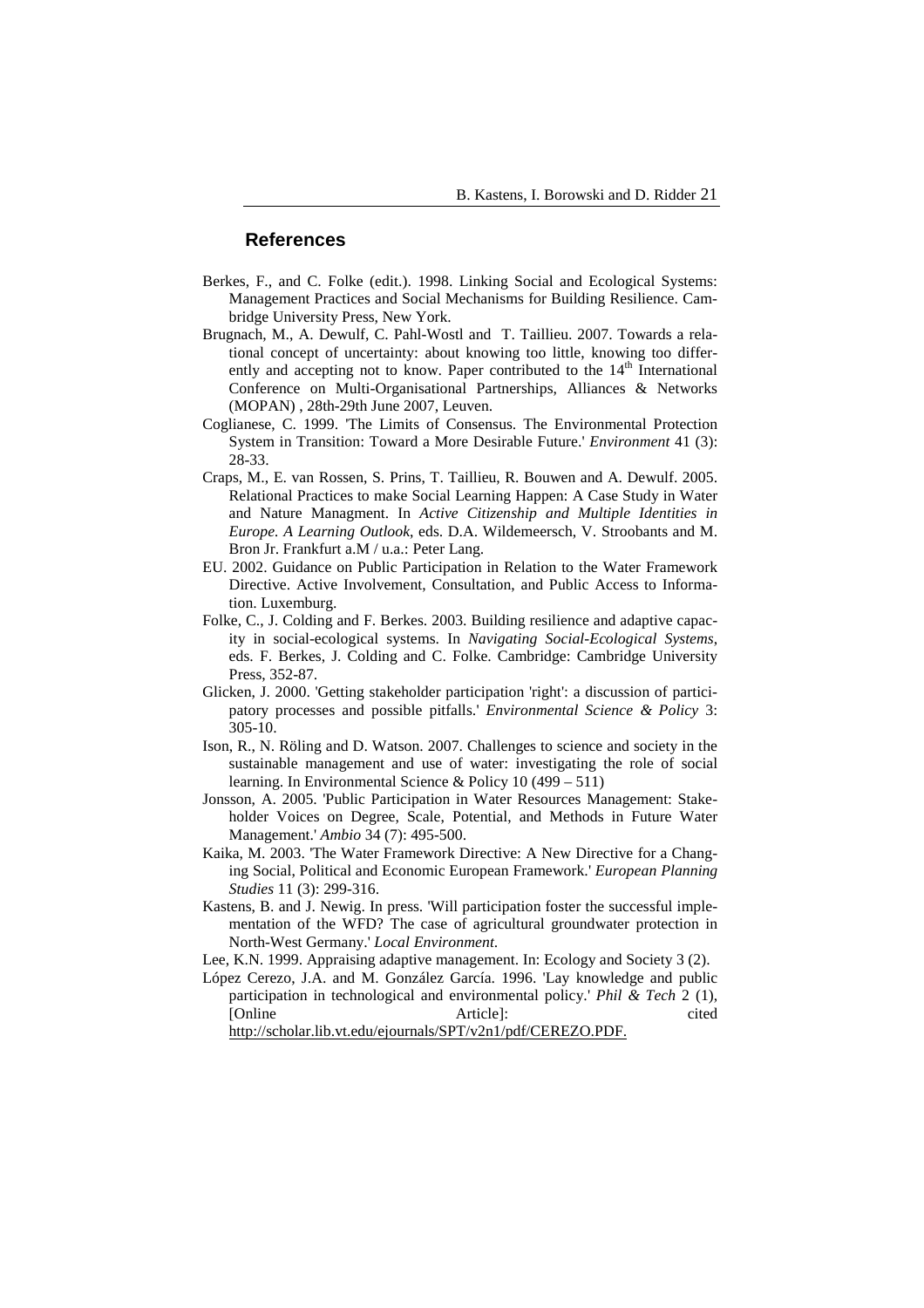#### **References**

- Berkes, F., and C. Folke (edit.). 1998. Linking Social and Ecological Systems: Management Practices and Social Mechanisms for Building Resilience. Cambridge University Press, New York.
- Brugnach, M., A. Dewulf, C. Pahl-Wostl and T. Taillieu. 2007. Towards a relational concept of uncertainty: about knowing too little, knowing too differently and accepting not to know. Paper contributed to the  $14<sup>th</sup>$  International Conference on Multi-Organisational Partnerships, Alliances & Networks (MOPAN) , 28th-29th June 2007, Leuven.
- Coglianese, C. 1999. 'The Limits of Consensus. The Environmental Protection System in Transition: Toward a More Desirable Future.' *Environment* 41 (3): 28-33.
- Craps, M., E. van Rossen, S. Prins, T. Taillieu, R. Bouwen and A. Dewulf. 2005. Relational Practices to make Social Learning Happen: A Case Study in Water and Nature Managment. In *Active Citizenship and Multiple Identities in Europe. A Learning Outlook*, eds. D.A. Wildemeersch, V. Stroobants and M. Bron Jr. Frankfurt a.M / u.a.: Peter Lang.
- EU. 2002. Guidance on Public Participation in Relation to the Water Framework Directive. Active Involvement, Consultation, and Public Access to Information. Luxemburg.
- Folke, C., J. Colding and F. Berkes. 2003. Building resilience and adaptive capacity in social-ecological systems. In *Navigating Social-Ecological Systems*, eds. F. Berkes, J. Colding and C. Folke. Cambridge: Cambridge University Press, 352-87.
- Glicken, J. 2000. 'Getting stakeholder participation 'right': a discussion of participatory processes and possible pitfalls.' *Environmental Science & Policy* 3: 305-10.
- Ison, R., N. Röling and D. Watson. 2007. Challenges to science and society in the sustainable management and use of water: investigating the role of social learning. In Environmental Science & Policy 10 (499 – 511)
- Jonsson, A. 2005. 'Public Participation in Water Resources Management: Stakeholder Voices on Degree, Scale, Potential, and Methods in Future Water Management.' *Ambio* 34 (7): 495-500.
- Kaika, M. 2003. 'The Water Framework Directive: A New Directive for a Changing Social, Political and Economic European Framework.' *European Planning Studies* 11 (3): 299-316.
- Kastens, B. and J. Newig. In press. 'Will participation foster the successful implementation of the WFD? The case of agricultural groundwater protection in North-West Germany.' *Local Environment*.
- Lee, K.N. 1999. Appraising adaptive management. In: Ecology and Society 3 (2).
- López Cerezo, J.A. and M. González García. 1996. 'Lay knowledge and public participation in technological and environmental policy.' *Phil & Tech* 2 (1), [Online cited]: Article]: cited

http://scholar.lib.vt.edu/ejournals/SPT/v2n1/pdf/CEREZO.PDF.